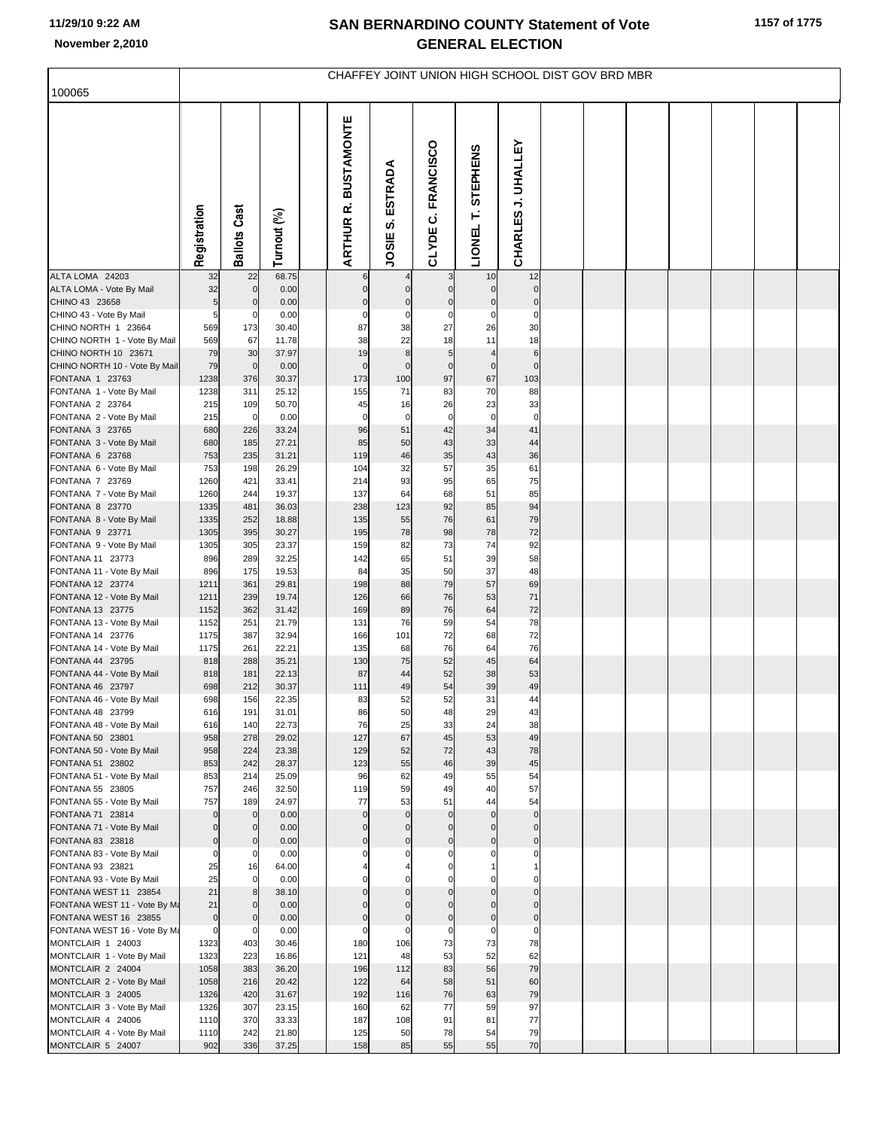| 100065                                                | CHAFFEY JOINT UNION HIGH SCHOOL DIST GOV BRD MBR |                            |                |  |                                      |                          |                               |                                       |                           |  |  |  |  |  |
|-------------------------------------------------------|--------------------------------------------------|----------------------------|----------------|--|--------------------------------------|--------------------------|-------------------------------|---------------------------------------|---------------------------|--|--|--|--|--|
|                                                       |                                                  |                            |                |  |                                      |                          |                               |                                       |                           |  |  |  |  |  |
|                                                       | Registration                                     | <b>Ballots Cast</b>        | Turnout (%)    |  | <b>BUSTAMONTE</b><br><b>ARTHURR.</b> | ESTRADA<br>ທ່<br>JOSIE   | C. FRANCISCO<br>CLYDE         | <b>STEPHENS</b><br>Ë<br><b>LIONEL</b> | <b>CHARLES J. UHALLEY</b> |  |  |  |  |  |
| ALTA LOMA 24203                                       | 32                                               | 22                         | 68.75          |  | 6                                    |                          | 3                             | 10                                    | 12                        |  |  |  |  |  |
| ALTA LOMA - Vote By Mail<br>CHINO 43 23658            | 32<br>5                                          | $\mathbf 0$<br>$\mathbf 0$ | 0.00<br>0.00   |  | $\mathbf 0$<br>$\pmb{0}$             | $\mathbf 0$<br>$\pmb{0}$ | $\mathbf 0$<br>$\mathbf 0$    | $\overline{0}$<br>$\mathbf 0$         | $\circ$<br>$\overline{0}$ |  |  |  |  |  |
| CHINO 43 - Vote By Mail                               | 5                                                | $\Omega$                   | 0.00           |  | $\mathbf 0$                          | $\mathbf 0$              | $\mathbf 0$                   | $\mathbf 0$                           | $\mathbf 0$               |  |  |  |  |  |
| CHINO NORTH 1 23664                                   | 569                                              | 173                        | 30.40          |  | 87                                   | 38                       | 27                            | 26                                    | 30                        |  |  |  |  |  |
| CHINO NORTH 1 - Vote By Mail                          | 569                                              | 67                         | 11.78          |  | 38                                   | 22                       | 18                            | 11                                    | 18                        |  |  |  |  |  |
| CHINO NORTH 10 23671<br>CHINO NORTH 10 - Vote By Mail | 79<br>79                                         | 30<br>$\mathbf 0$          | 37.97<br>0.00  |  | 19<br>$\mathbf 0$                    | $\bf8$<br>$\mathbf 0$    | $\overline{5}$<br>$\mathbf 0$ | $\overline{4}$<br>$\mathbf 0$         | $\,6$<br>$\mathbf 0$      |  |  |  |  |  |
| FONTANA 1 23763                                       | 1238                                             | 376                        | 30.37          |  | 173                                  | 100                      | 97                            | 67                                    | 103                       |  |  |  |  |  |
| FONTANA 1 - Vote By Mail                              | 1238                                             | 311                        | 25.12          |  | 155                                  | 71                       | 83                            | 70                                    | 88                        |  |  |  |  |  |
| FONTANA 2 23764                                       | 215                                              | 109                        | 50.70          |  | 45                                   | 16                       | 26                            | 23                                    | 33                        |  |  |  |  |  |
| FONTANA 2 - Vote By Mail                              | 215                                              | $\mathbf 0$                | 0.00           |  | $\mathbf 0$                          | $\mathbf 0$              | $\mathbf 0$<br>42             | $\mathbf 0$                           | $\mathbf 0$               |  |  |  |  |  |
| FONTANA 3 23765<br>FONTANA 3 - Vote By Mail           | 680<br>680                                       | 226<br>185                 | 33.24<br>27.21 |  | 96<br>85                             | 51<br>50                 | 43                            | 34<br>33                              | 41<br>44                  |  |  |  |  |  |
| FONTANA 6 23768                                       | 753                                              | 235                        | 31.21          |  | 119                                  | 46                       | 35                            | 43                                    | 36                        |  |  |  |  |  |
| FONTANA 6 - Vote By Mail                              | 753                                              | 198                        | 26.29          |  | 104                                  | 32                       | 57                            | 35                                    | 61                        |  |  |  |  |  |
| FONTANA 7 23769                                       | 1260                                             | 421                        | 33.41          |  | 214                                  | 93                       | 95                            | 65                                    | 75                        |  |  |  |  |  |
| FONTANA 7 - Vote By Mail<br>FONTANA 8 23770           | 1260<br>1335                                     | 244<br>481                 | 19.37<br>36.03 |  | 137<br>238                           | 64<br>123                | 68<br>92                      | 51<br>85                              | 85<br>94                  |  |  |  |  |  |
| FONTANA 8 - Vote By Mail                              | 1335                                             | 252                        | 18.88          |  | 135                                  | 55                       | 76                            | 61                                    | 79                        |  |  |  |  |  |
| FONTANA 9 23771                                       | 1305                                             | 395                        | 30.27          |  | 195                                  | 78                       | 98                            | 78                                    | 72                        |  |  |  |  |  |
| FONTANA 9 - Vote By Mail                              | 1305                                             | 305                        | 23.37          |  | 159                                  | 82                       | 73                            | 74                                    | 92                        |  |  |  |  |  |
| FONTANA 11 23773<br>FONTANA 11 - Vote By Mail         | 896<br>896                                       | 289<br>175                 | 32.25<br>19.53 |  | 142<br>84                            | 65<br>35                 | 51<br>50                      | 39<br>37                              | 58<br>48                  |  |  |  |  |  |
| FONTANA 12 23774                                      | 1211                                             | 361                        | 29.81          |  | 198                                  | 88                       | 79                            | 57                                    | 69                        |  |  |  |  |  |
| FONTANA 12 - Vote By Mail                             | 1211                                             | 239                        | 19.74          |  | 126                                  | 66                       | 76                            | 53                                    | 71                        |  |  |  |  |  |
| FONTANA 13 23775                                      | 1152                                             | 362                        | 31.42          |  | 169                                  | 89                       | 76                            | 64                                    | 72                        |  |  |  |  |  |
| FONTANA 13 - Vote By Mail<br>FONTANA 14 23776         | 1152<br>1175                                     | 251<br>387                 | 21.79<br>32.94 |  | 131<br>166                           | 76<br>101                | 59<br>72                      | 54<br>68                              | 78<br>72                  |  |  |  |  |  |
| FONTANA 14 - Vote By Mail                             | 1175                                             | 261                        | 22.21          |  | 135                                  | 68                       | 76                            | 64                                    | 76                        |  |  |  |  |  |
| FONTANA 44 23795                                      | 818                                              | 288                        | 35.21          |  | 130                                  | 75                       | 52                            | 45                                    | 64                        |  |  |  |  |  |
| FONTANA 44 - Vote By Mail                             | 818                                              | 181                        | 22.13          |  | 87                                   | 44                       | 52                            | 38                                    | 53                        |  |  |  |  |  |
| FONTANA 46 23797<br>FONTANA 46 - Vote By Mail         | 698<br>698                                       | 212<br>156                 | 30.37<br>22.35 |  | 111<br>83                            | 49<br>52                 | 54<br>52                      | 39<br>31                              | 49<br>44                  |  |  |  |  |  |
| FONTANA 48 23799                                      | 616                                              | 191                        | 31.01          |  | 86                                   | 50                       | 48                            | 29                                    | 43                        |  |  |  |  |  |
| FONTANA 48 - Vote By Mail                             | 616                                              | 140                        | 22.73          |  | 76                                   | 25                       | 33                            | 24                                    | 38                        |  |  |  |  |  |
| FONTANA 50 23801                                      | 958                                              | 278                        | 29.02          |  | 127                                  | 67                       | 45<br>72                      | 53                                    | 49                        |  |  |  |  |  |
| FONTANA 50 - Vote By Mail<br>FONTANA 51 23802         | 958<br>853                                       | 224<br>242                 | 23.38<br>28.37 |  | 129<br>123                           | 52<br>55                 | 46                            | 43<br>39                              | 78<br>45                  |  |  |  |  |  |
| FONTANA 51 - Vote By Mail                             | 853                                              | 214                        | 25.09          |  | 96                                   | 62                       | 49                            | 55                                    | 54                        |  |  |  |  |  |
| FONTANA 55 23805                                      | 757                                              | 246                        | 32.50          |  | 119                                  | 59                       | 49                            | 40                                    | 57                        |  |  |  |  |  |
| FONTANA 55 - Vote By Mail<br>FONTANA 71 23814         | 757<br>$\mathbf 0$                               | 189<br>$\mathbf 0$         | 24.97<br>0.00  |  | 77<br>$\mathbf 0$                    | 53<br>$\mathbf{0}$       | 51<br>$\mathbf 0$             | 44<br>$\mathbf 0$                     | 54<br>$\overline{0}$      |  |  |  |  |  |
| FONTANA 71 - Vote By Mail                             | $\mathbf 0$                                      | $\mathbf 0$                | 0.00           |  | $\Omega$                             | $\mathbf 0$              | $\Omega$                      | $\mathbf 0$                           | $\overline{0}$            |  |  |  |  |  |
| FONTANA 83 23818                                      | $\overline{0}$                                   | $\mathbf 0$                | 0.00           |  | $\mathbf 0$                          | $\mathbf 0$              | $\mathbf 0$                   | $\Omega$                              | $\overline{0}$            |  |  |  |  |  |
| FONTANA 83 - Vote By Mail                             | $\overline{0}$                                   | 0                          | 0.00           |  | C                                    | $\Omega$                 | $\Omega$                      | $\Omega$                              | $\Omega$                  |  |  |  |  |  |
| FONTANA 93 23821<br>FONTANA 93 - Vote By Mail         | 25<br>25                                         | 16                         | 64.00<br>0.00  |  |                                      |                          | $\Omega$                      |                                       | $\mathbf 0$               |  |  |  |  |  |
| FONTANA WEST 11 23854                                 | 21                                               | 8                          | 38.10          |  | $\Omega$                             | $\Omega$                 | $\Omega$                      | $\mathbf{0}$                          | $\overline{0}$            |  |  |  |  |  |
| FONTANA WEST 11 - Vote By Ma                          | 21                                               |                            | 0.00           |  | C                                    | $\Omega$                 | $\Omega$                      | $\Omega$                              | $\Omega$                  |  |  |  |  |  |
| FONTANA WEST 16 23855                                 | $\overline{0}$                                   | $\mathbf 0$                | 0.00           |  | $\mathbf 0$                          | $\mathbf 0$              | $\mathbf 0$                   | $\mathbf 0$                           | $\overline{0}$            |  |  |  |  |  |
| FONTANA WEST 16 - Vote By Ma<br>MONTCLAIR 1 24003     | $\overline{0}$<br>1323                           | $\Omega$<br>403            | 0.00<br>30.46  |  | $\mathbf 0$<br>180                   | $\Omega$<br>106          | $\mathbf 0$<br>73             | $\mathbf 0$<br>73                     | $\mathbf 0$<br>78         |  |  |  |  |  |
| MONTCLAIR 1 - Vote By Mail                            | 1323                                             | 223                        | 16.86          |  | 121                                  | 48                       | 53                            | 52                                    | 62                        |  |  |  |  |  |
| MONTCLAIR 2 24004                                     | 1058                                             | 383                        | 36.20          |  | 196                                  | 112                      | 83                            | 56                                    | 79                        |  |  |  |  |  |
| MONTCLAIR 2 - Vote By Mail                            | 1058                                             | 216                        | 20.42          |  | 122                                  | 64                       | 58                            | 51                                    | 60                        |  |  |  |  |  |
| MONTCLAIR 3 24005                                     | 1326                                             | 420                        | 31.67          |  | 192                                  | 116                      | 76                            | 63                                    | 79                        |  |  |  |  |  |
| MONTCLAIR 3 - Vote By Mail<br>MONTCLAIR 4 24006       | 1326<br>1110                                     | 307<br>370                 | 23.15<br>33.33 |  | 160<br>187                           | 62<br>108                | 77<br>91                      | 59<br>81                              | 97<br>77                  |  |  |  |  |  |
| MONTCLAIR 4 - Vote By Mail                            | 1110                                             | 242                        | 21.80          |  | 125                                  | 50                       | 78                            | 54                                    | 79                        |  |  |  |  |  |
| MONTCLAIR 5 24007                                     | 902                                              | 336                        | 37.25          |  | 158                                  | 85                       | 55                            | 55                                    | 70                        |  |  |  |  |  |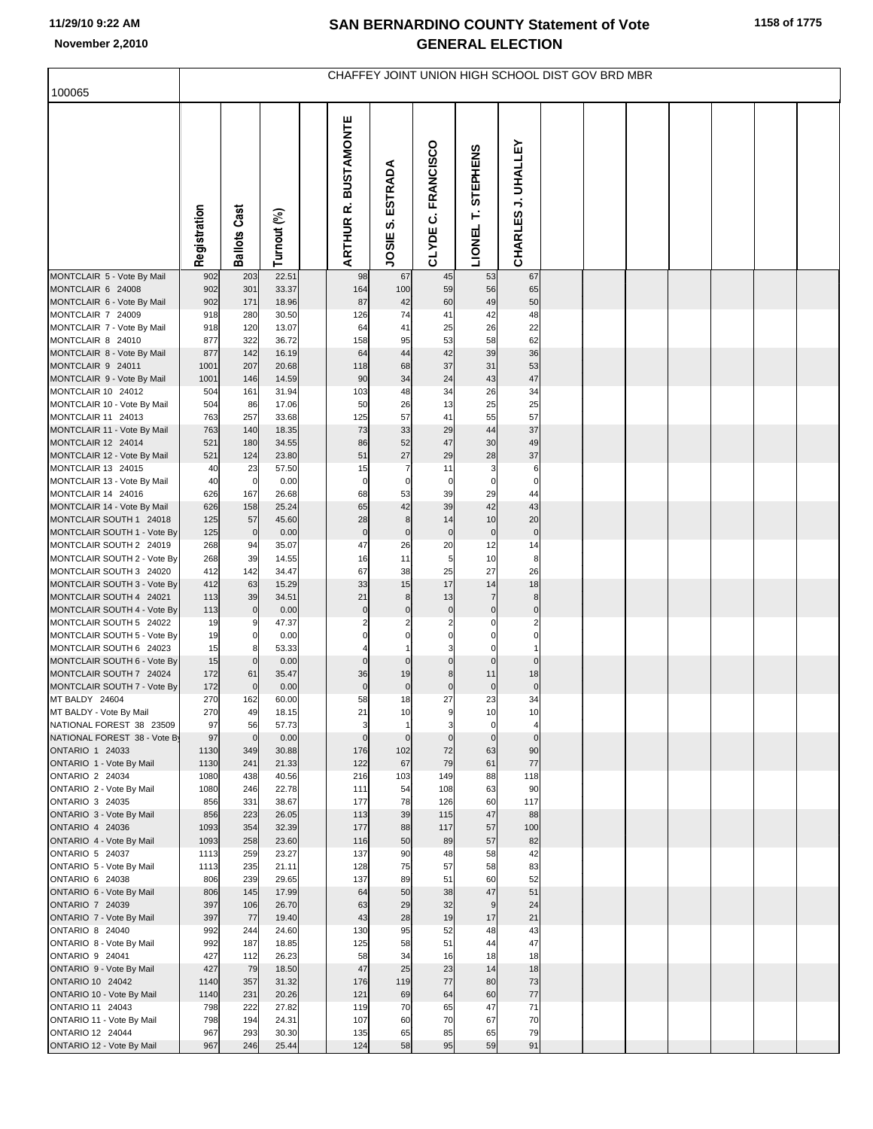| <b>BUSTAMONTE</b><br><b>CHARLES J. UHALLEY</b><br>C. FRANCISCO<br><b>STEPHENS</b><br>ESTRADA<br>œ<br><b>Ballots Cast</b><br>Registration<br>Turnout (%)<br>É<br><b>ARTHUR</b><br>ທ່<br>LIONEL<br>CLYDE<br>JOSIE<br>22.51<br>MONTCLAIR 5 - Vote By Mail<br>902<br>203<br>67<br>98<br>67<br>53<br>45<br>902<br>301<br>100<br>56<br>MONTCLAIR 6 24008<br>33.37<br>164<br>59<br>65<br>49<br>902<br>171<br>18.96<br>87<br>42<br>60<br>50<br>MONTCLAIR 6 - Vote By Mail<br>918<br>74<br>41<br>42<br>48<br>MONTCLAIR 7 24009<br>280<br>30.50<br>126<br>MONTCLAIR 7 - Vote By Mail<br>918<br>41<br>25<br>26<br>22<br>120<br>13.07<br>64<br>58<br>MONTCLAIR 8 24010<br>877<br>322<br>158<br>95<br>53<br>62<br>36.72<br>44<br>42<br>39<br>MONTCLAIR 8 - Vote By Mail<br>877<br>142<br>64<br>36<br>16.19<br>MONTCLAIR 9 24011<br>68<br>37<br>31<br>53<br>1001<br>207<br>20.68<br>118<br>34<br>43<br>47<br>MONTCLAIR 9 - Vote By Mail<br>1001<br>90<br>24<br>146<br>14.59<br>48<br>34<br>26<br>34<br>MONTCLAIR 10 24012<br>504<br>161<br>31.94<br>103<br>25<br>MONTCLAIR 10 - Vote By Mail<br>504<br>86<br>17.06<br>50<br>26<br>13<br>25<br>55<br>57<br>MONTCLAIR 11 24013<br>763<br>125<br>57<br>41<br>257<br>33.68<br>33<br>44<br>MONTCLAIR 11 - Vote By Mail<br>763<br>140<br>73<br>29<br>37<br>18.35<br>521<br>86<br>52<br>47<br>30<br>49<br>MONTCLAIR 12 24014<br>180<br>34.55<br>27<br>MONTCLAIR 12 - Vote By Mail<br>521<br>51<br>29<br>28<br>37<br>124<br>23.80<br>MONTCLAIR 13 24015<br>$\overline{7}$<br>3<br>40<br>57.50<br>15<br>11<br>6<br>23<br>MONTCLAIR 13 - Vote By Mail<br>40<br>$\overline{0}$<br>0.00<br>$\mathbf 0$<br>$\mathbf 0$<br>$\mathbf 0$<br>$\mathbf 0$<br>$\mathbf 0$<br>626<br>68<br>53<br>39<br>29<br>44<br>MONTCLAIR 14 24016<br>167<br>26.68<br>42<br>42<br>MONTCLAIR 14 - Vote By Mail<br>626<br>158<br>65<br>39<br>43<br>25.24<br>10<br>20<br>125<br>28<br>8<br>14<br>MONTCLAIR SOUTH 1 24018<br>57<br>45.60<br>MONTCLAIR SOUTH 1 - Vote By<br>125<br>$\mathbf 0$<br>$\pmb{0}$<br>$\pmb{0}$<br>$\mathbf 0$<br>$\overline{0}$<br>$\pmb{0}$<br>0.00<br>MONTCLAIR SOUTH 2 24019<br>268<br>35.07<br>47<br>26<br>20<br>12<br>14<br>94<br>MONTCLAIR SOUTH 2 - Vote By<br>268<br>39<br>11<br>10<br>16<br>5<br>8<br>14.55<br>27<br>26<br>MONTCLAIR SOUTH 3 24020<br>412<br>34.47<br>67<br>38<br>25<br>142<br>14<br>15<br>17<br>18<br>MONTCLAIR SOUTH 3 - Vote By<br>412<br>63<br>33<br>15.29<br>113<br>21<br>13<br>MONTCLAIR SOUTH 4 24021<br>39<br>34.51<br>8<br>$\overline{7}$<br>8<br>MONTCLAIR SOUTH 4 - Vote By<br>$\pmb{0}$<br>113<br>$\overline{0}$<br>0.00<br>$\pmb{0}$<br>$\mathbf 0$<br>$\pmb{0}$<br>$\mathbf 0$<br>MONTCLAIR SOUTH 5 24022<br>47.37<br>19<br>$\overline{2}$<br>9<br>2<br>2<br>$\overline{2}$<br>0<br>MONTCLAIR SOUTH 5 - Vote By<br>19<br>$\overline{0}$<br>0.00<br>$\mathbf 0$<br>0<br>0<br>$\Omega$<br>0<br>MONTCLAIR SOUTH 6 24023<br>15<br>8<br>53.33<br>3<br>$\Omega$<br>$\overline{1}$<br>MONTCLAIR SOUTH 6 - Vote By<br>15<br>$\overline{0}$<br>$\overline{0}$<br>$\circ$<br>0.00<br>$\mathbf 0$<br>$\mathbf 0$<br>$\mathbf 0$<br>18<br>36<br>19<br>11<br>MONTCLAIR SOUTH 7 24024<br>172<br>61<br>35.47<br>8<br>$\mathbf 0$<br>$\pmb{0}$<br>$\mathbf 0$<br>$\pmb{0}$<br>MONTCLAIR SOUTH 7 - Vote By<br>172<br>$\overline{0}$<br>0.00<br>$\mathbf 0$<br>270<br>60.00<br>58<br>18<br>27<br>23<br>34<br>MT BALDY 24604<br>162<br>MT BALDY - Vote By Mail<br>270<br>21<br>49<br>18.15<br>10<br>10<br>10<br>NATIONAL FOREST 38 23509<br>97<br>56<br>57.73<br>3<br>$\overline{0}$<br>$\mathbf{1}$<br>3<br>$\overline{4}$<br>97<br>$\overline{0}$<br>NATIONAL FOREST 38 - Vote By<br>0.00<br>$\mathbf 0$<br>$\mathbf 0$<br>$\overline{0}$<br>$\circ$<br>$\mathbf 0$<br>ONTARIO 1 24033<br>30.88<br>102<br>72<br>63<br>90<br>1130<br>349<br>176<br>ONTARIO 1 - Vote By Mail<br>241<br>21.33<br>122<br>67<br>79<br>61<br>77<br>1130<br>ONTARIO 2 24034<br>438<br>40.56<br>103<br>149<br>88<br>118<br>1080<br>216<br>ONTARIO 2 - Vote By Mail<br>63<br>90<br>1080<br>246<br>22.78<br>111<br>54<br>108<br>ONTARIO 3 24035<br>177<br>78<br>126<br>60<br>117<br>856<br>331<br>38.67<br>39<br>47<br>ONTARIO 3 - Vote By Mail<br>223<br>115<br>88<br>856<br>26.05<br>113<br>ONTARIO 4 24036<br>32.39<br>177<br>88<br>57<br>100<br>1093<br>354<br>117<br>ONTARIO 4 - Vote By Mail<br>23.60<br>50<br>57<br>82<br>1093<br>258<br>116<br>89<br>ONTARIO 5 24037<br>23.27<br>90<br>48<br>58<br>42<br>1113<br>259<br>137<br>ONTARIO 5 - Vote By Mail<br>235<br>128<br>75<br>57<br>58<br>1113<br>21.11<br>83<br>89<br>ONTARIO 6 24038<br>239<br>29.65<br>137<br>51<br>60<br>52<br>806<br>50<br>47<br>51<br>ONTARIO 6 - Vote By Mail<br>806<br>145<br>17.99<br>64<br>38<br>ONTARIO 7 24039<br>397<br>63<br>29<br>32<br>9<br>24<br>106<br>26.70<br>ONTARIO 7 - Vote By Mail<br>397<br>43<br>28<br>19<br>17<br>21<br>77<br>19.40<br>ONTARIO 8 24040<br>130<br>95<br>52<br>48<br>43<br>992<br>244<br>24.60<br>ONTARIO 8 - Vote By Mail<br>992<br>125<br>58<br>51<br>44<br>47<br>187<br>18.85<br>ONTARIO 9 24041<br>427<br>26.23<br>58<br>34<br>16<br>18<br>18<br>112<br>25<br>14<br>ONTARIO 9 - Vote By Mail<br>427<br>79<br>47<br>23<br>18<br>18.50<br>ONTARIO 10 24042<br>31.32<br>119<br>77<br>80<br>73<br>1140<br>357<br>176<br>ONTARIO 10 - Vote By Mail<br>20.26<br>121<br>69<br>64<br>60<br>$77 \,$<br>1140<br>231<br>ONTARIO 11 24043<br>222<br>70<br>47<br>71<br>798<br>27.82<br>119<br>65<br>ONTARIO 11 - Vote By Mail<br>798<br>107<br>60<br>70<br>67<br>70<br>194<br>24.31<br>ONTARIO 12 24044<br>967<br>65<br>85<br>65<br>79<br>293<br>30.30<br>135<br>58<br>ONTARIO 12 - Vote By Mail<br>967<br>124<br>95<br>59<br>91<br>246<br>25.44 | 100065 |  |  | CHAFFEY JOINT UNION HIGH SCHOOL DIST GOV BRD MBR |  |  |  |  |  |  |
|-----------------------------------------------------------------------------------------------------------------------------------------------------------------------------------------------------------------------------------------------------------------------------------------------------------------------------------------------------------------------------------------------------------------------------------------------------------------------------------------------------------------------------------------------------------------------------------------------------------------------------------------------------------------------------------------------------------------------------------------------------------------------------------------------------------------------------------------------------------------------------------------------------------------------------------------------------------------------------------------------------------------------------------------------------------------------------------------------------------------------------------------------------------------------------------------------------------------------------------------------------------------------------------------------------------------------------------------------------------------------------------------------------------------------------------------------------------------------------------------------------------------------------------------------------------------------------------------------------------------------------------------------------------------------------------------------------------------------------------------------------------------------------------------------------------------------------------------------------------------------------------------------------------------------------------------------------------------------------------------------------------------------------------------------------------------------------------------------------------------------------------------------------------------------------------------------------------------------------------------------------------------------------------------------------------------------------------------------------------------------------------------------------------------------------------------------------------------------------------------------------------------------------------------------------------------------------------------------------------------------------------------------------------------------------------------------------------------------------------------------------------------------------------------------------------------------------------------------------------------------------------------------------------------------------------------------------------------------------------------------------------------------------------------------------------------------------------------------------------------------------------------------------------------------------------------------------------------------------------------------------------------------------------------------------------------------------------------------------------------------------------------------------------------------------------------------------------------------------------------------------------------------------------------------------------------------------------------------------------------------------------------------------------------------------------------------------------------------------------------------------------------------------------------------------------------------------------------------------------------------------------------------------------------------------------------------------------------------------------------------------------------------------------------------------------------------------------------------------------------------------------------------------------------------------------------------------------------------------------------------------------------------------------------------------------------------------------------------------------------------------------------------------------------------------------------------------------------------------------------------------------------------------------------------------------------------------------------------------------------------------------------------------------------------------------------------------------------------------------------------------------------------------------------------------------------------------------------------------------------------------------------------------------------------------------------------------------------------------------------------------------------------------------------------------------------------------------------------------------------------------------------------------------------------------------------------------------------------------------------------------------------------------------------------------------------------------------------------------------------------------------------------------------------------------------------------------------------------------------------------------------------------------------------------------------------------------------------------------------------------------------------------------------------------------|--------|--|--|--------------------------------------------------|--|--|--|--|--|--|
|                                                                                                                                                                                                                                                                                                                                                                                                                                                                                                                                                                                                                                                                                                                                                                                                                                                                                                                                                                                                                                                                                                                                                                                                                                                                                                                                                                                                                                                                                                                                                                                                                                                                                                                                                                                                                                                                                                                                                                                                                                                                                                                                                                                                                                                                                                                                                                                                                                                                                                                                                                                                                                                                                                                                                                                                                                                                                                                                                                                                                                                                                                                                                                                                                                                                                                                                                                                                                                                                                                                                                                                                                                                                                                                                                                                                                                                                                                                                                                                                                                                                                                                                                                                                                                                                                                                                                                                                                                                                                                                                                                                                                                                                                                                                                                                                                                                                                                                                                                                                                                                                                                                                                                                                                                                                                                                                                                                                                                                                                                                                                                                                                                                                             |        |  |  |                                                  |  |  |  |  |  |  |
|                                                                                                                                                                                                                                                                                                                                                                                                                                                                                                                                                                                                                                                                                                                                                                                                                                                                                                                                                                                                                                                                                                                                                                                                                                                                                                                                                                                                                                                                                                                                                                                                                                                                                                                                                                                                                                                                                                                                                                                                                                                                                                                                                                                                                                                                                                                                                                                                                                                                                                                                                                                                                                                                                                                                                                                                                                                                                                                                                                                                                                                                                                                                                                                                                                                                                                                                                                                                                                                                                                                                                                                                                                                                                                                                                                                                                                                                                                                                                                                                                                                                                                                                                                                                                                                                                                                                                                                                                                                                                                                                                                                                                                                                                                                                                                                                                                                                                                                                                                                                                                                                                                                                                                                                                                                                                                                                                                                                                                                                                                                                                                                                                                                                             |        |  |  |                                                  |  |  |  |  |  |  |
|                                                                                                                                                                                                                                                                                                                                                                                                                                                                                                                                                                                                                                                                                                                                                                                                                                                                                                                                                                                                                                                                                                                                                                                                                                                                                                                                                                                                                                                                                                                                                                                                                                                                                                                                                                                                                                                                                                                                                                                                                                                                                                                                                                                                                                                                                                                                                                                                                                                                                                                                                                                                                                                                                                                                                                                                                                                                                                                                                                                                                                                                                                                                                                                                                                                                                                                                                                                                                                                                                                                                                                                                                                                                                                                                                                                                                                                                                                                                                                                                                                                                                                                                                                                                                                                                                                                                                                                                                                                                                                                                                                                                                                                                                                                                                                                                                                                                                                                                                                                                                                                                                                                                                                                                                                                                                                                                                                                                                                                                                                                                                                                                                                                                             |        |  |  |                                                  |  |  |  |  |  |  |
|                                                                                                                                                                                                                                                                                                                                                                                                                                                                                                                                                                                                                                                                                                                                                                                                                                                                                                                                                                                                                                                                                                                                                                                                                                                                                                                                                                                                                                                                                                                                                                                                                                                                                                                                                                                                                                                                                                                                                                                                                                                                                                                                                                                                                                                                                                                                                                                                                                                                                                                                                                                                                                                                                                                                                                                                                                                                                                                                                                                                                                                                                                                                                                                                                                                                                                                                                                                                                                                                                                                                                                                                                                                                                                                                                                                                                                                                                                                                                                                                                                                                                                                                                                                                                                                                                                                                                                                                                                                                                                                                                                                                                                                                                                                                                                                                                                                                                                                                                                                                                                                                                                                                                                                                                                                                                                                                                                                                                                                                                                                                                                                                                                                                             |        |  |  |                                                  |  |  |  |  |  |  |
|                                                                                                                                                                                                                                                                                                                                                                                                                                                                                                                                                                                                                                                                                                                                                                                                                                                                                                                                                                                                                                                                                                                                                                                                                                                                                                                                                                                                                                                                                                                                                                                                                                                                                                                                                                                                                                                                                                                                                                                                                                                                                                                                                                                                                                                                                                                                                                                                                                                                                                                                                                                                                                                                                                                                                                                                                                                                                                                                                                                                                                                                                                                                                                                                                                                                                                                                                                                                                                                                                                                                                                                                                                                                                                                                                                                                                                                                                                                                                                                                                                                                                                                                                                                                                                                                                                                                                                                                                                                                                                                                                                                                                                                                                                                                                                                                                                                                                                                                                                                                                                                                                                                                                                                                                                                                                                                                                                                                                                                                                                                                                                                                                                                                             |        |  |  |                                                  |  |  |  |  |  |  |
|                                                                                                                                                                                                                                                                                                                                                                                                                                                                                                                                                                                                                                                                                                                                                                                                                                                                                                                                                                                                                                                                                                                                                                                                                                                                                                                                                                                                                                                                                                                                                                                                                                                                                                                                                                                                                                                                                                                                                                                                                                                                                                                                                                                                                                                                                                                                                                                                                                                                                                                                                                                                                                                                                                                                                                                                                                                                                                                                                                                                                                                                                                                                                                                                                                                                                                                                                                                                                                                                                                                                                                                                                                                                                                                                                                                                                                                                                                                                                                                                                                                                                                                                                                                                                                                                                                                                                                                                                                                                                                                                                                                                                                                                                                                                                                                                                                                                                                                                                                                                                                                                                                                                                                                                                                                                                                                                                                                                                                                                                                                                                                                                                                                                             |        |  |  |                                                  |  |  |  |  |  |  |
|                                                                                                                                                                                                                                                                                                                                                                                                                                                                                                                                                                                                                                                                                                                                                                                                                                                                                                                                                                                                                                                                                                                                                                                                                                                                                                                                                                                                                                                                                                                                                                                                                                                                                                                                                                                                                                                                                                                                                                                                                                                                                                                                                                                                                                                                                                                                                                                                                                                                                                                                                                                                                                                                                                                                                                                                                                                                                                                                                                                                                                                                                                                                                                                                                                                                                                                                                                                                                                                                                                                                                                                                                                                                                                                                                                                                                                                                                                                                                                                                                                                                                                                                                                                                                                                                                                                                                                                                                                                                                                                                                                                                                                                                                                                                                                                                                                                                                                                                                                                                                                                                                                                                                                                                                                                                                                                                                                                                                                                                                                                                                                                                                                                                             |        |  |  |                                                  |  |  |  |  |  |  |
|                                                                                                                                                                                                                                                                                                                                                                                                                                                                                                                                                                                                                                                                                                                                                                                                                                                                                                                                                                                                                                                                                                                                                                                                                                                                                                                                                                                                                                                                                                                                                                                                                                                                                                                                                                                                                                                                                                                                                                                                                                                                                                                                                                                                                                                                                                                                                                                                                                                                                                                                                                                                                                                                                                                                                                                                                                                                                                                                                                                                                                                                                                                                                                                                                                                                                                                                                                                                                                                                                                                                                                                                                                                                                                                                                                                                                                                                                                                                                                                                                                                                                                                                                                                                                                                                                                                                                                                                                                                                                                                                                                                                                                                                                                                                                                                                                                                                                                                                                                                                                                                                                                                                                                                                                                                                                                                                                                                                                                                                                                                                                                                                                                                                             |        |  |  |                                                  |  |  |  |  |  |  |
|                                                                                                                                                                                                                                                                                                                                                                                                                                                                                                                                                                                                                                                                                                                                                                                                                                                                                                                                                                                                                                                                                                                                                                                                                                                                                                                                                                                                                                                                                                                                                                                                                                                                                                                                                                                                                                                                                                                                                                                                                                                                                                                                                                                                                                                                                                                                                                                                                                                                                                                                                                                                                                                                                                                                                                                                                                                                                                                                                                                                                                                                                                                                                                                                                                                                                                                                                                                                                                                                                                                                                                                                                                                                                                                                                                                                                                                                                                                                                                                                                                                                                                                                                                                                                                                                                                                                                                                                                                                                                                                                                                                                                                                                                                                                                                                                                                                                                                                                                                                                                                                                                                                                                                                                                                                                                                                                                                                                                                                                                                                                                                                                                                                                             |        |  |  |                                                  |  |  |  |  |  |  |
|                                                                                                                                                                                                                                                                                                                                                                                                                                                                                                                                                                                                                                                                                                                                                                                                                                                                                                                                                                                                                                                                                                                                                                                                                                                                                                                                                                                                                                                                                                                                                                                                                                                                                                                                                                                                                                                                                                                                                                                                                                                                                                                                                                                                                                                                                                                                                                                                                                                                                                                                                                                                                                                                                                                                                                                                                                                                                                                                                                                                                                                                                                                                                                                                                                                                                                                                                                                                                                                                                                                                                                                                                                                                                                                                                                                                                                                                                                                                                                                                                                                                                                                                                                                                                                                                                                                                                                                                                                                                                                                                                                                                                                                                                                                                                                                                                                                                                                                                                                                                                                                                                                                                                                                                                                                                                                                                                                                                                                                                                                                                                                                                                                                                             |        |  |  |                                                  |  |  |  |  |  |  |
|                                                                                                                                                                                                                                                                                                                                                                                                                                                                                                                                                                                                                                                                                                                                                                                                                                                                                                                                                                                                                                                                                                                                                                                                                                                                                                                                                                                                                                                                                                                                                                                                                                                                                                                                                                                                                                                                                                                                                                                                                                                                                                                                                                                                                                                                                                                                                                                                                                                                                                                                                                                                                                                                                                                                                                                                                                                                                                                                                                                                                                                                                                                                                                                                                                                                                                                                                                                                                                                                                                                                                                                                                                                                                                                                                                                                                                                                                                                                                                                                                                                                                                                                                                                                                                                                                                                                                                                                                                                                                                                                                                                                                                                                                                                                                                                                                                                                                                                                                                                                                                                                                                                                                                                                                                                                                                                                                                                                                                                                                                                                                                                                                                                                             |        |  |  |                                                  |  |  |  |  |  |  |
|                                                                                                                                                                                                                                                                                                                                                                                                                                                                                                                                                                                                                                                                                                                                                                                                                                                                                                                                                                                                                                                                                                                                                                                                                                                                                                                                                                                                                                                                                                                                                                                                                                                                                                                                                                                                                                                                                                                                                                                                                                                                                                                                                                                                                                                                                                                                                                                                                                                                                                                                                                                                                                                                                                                                                                                                                                                                                                                                                                                                                                                                                                                                                                                                                                                                                                                                                                                                                                                                                                                                                                                                                                                                                                                                                                                                                                                                                                                                                                                                                                                                                                                                                                                                                                                                                                                                                                                                                                                                                                                                                                                                                                                                                                                                                                                                                                                                                                                                                                                                                                                                                                                                                                                                                                                                                                                                                                                                                                                                                                                                                                                                                                                                             |        |  |  |                                                  |  |  |  |  |  |  |
|                                                                                                                                                                                                                                                                                                                                                                                                                                                                                                                                                                                                                                                                                                                                                                                                                                                                                                                                                                                                                                                                                                                                                                                                                                                                                                                                                                                                                                                                                                                                                                                                                                                                                                                                                                                                                                                                                                                                                                                                                                                                                                                                                                                                                                                                                                                                                                                                                                                                                                                                                                                                                                                                                                                                                                                                                                                                                                                                                                                                                                                                                                                                                                                                                                                                                                                                                                                                                                                                                                                                                                                                                                                                                                                                                                                                                                                                                                                                                                                                                                                                                                                                                                                                                                                                                                                                                                                                                                                                                                                                                                                                                                                                                                                                                                                                                                                                                                                                                                                                                                                                                                                                                                                                                                                                                                                                                                                                                                                                                                                                                                                                                                                                             |        |  |  |                                                  |  |  |  |  |  |  |
|                                                                                                                                                                                                                                                                                                                                                                                                                                                                                                                                                                                                                                                                                                                                                                                                                                                                                                                                                                                                                                                                                                                                                                                                                                                                                                                                                                                                                                                                                                                                                                                                                                                                                                                                                                                                                                                                                                                                                                                                                                                                                                                                                                                                                                                                                                                                                                                                                                                                                                                                                                                                                                                                                                                                                                                                                                                                                                                                                                                                                                                                                                                                                                                                                                                                                                                                                                                                                                                                                                                                                                                                                                                                                                                                                                                                                                                                                                                                                                                                                                                                                                                                                                                                                                                                                                                                                                                                                                                                                                                                                                                                                                                                                                                                                                                                                                                                                                                                                                                                                                                                                                                                                                                                                                                                                                                                                                                                                                                                                                                                                                                                                                                                             |        |  |  |                                                  |  |  |  |  |  |  |
|                                                                                                                                                                                                                                                                                                                                                                                                                                                                                                                                                                                                                                                                                                                                                                                                                                                                                                                                                                                                                                                                                                                                                                                                                                                                                                                                                                                                                                                                                                                                                                                                                                                                                                                                                                                                                                                                                                                                                                                                                                                                                                                                                                                                                                                                                                                                                                                                                                                                                                                                                                                                                                                                                                                                                                                                                                                                                                                                                                                                                                                                                                                                                                                                                                                                                                                                                                                                                                                                                                                                                                                                                                                                                                                                                                                                                                                                                                                                                                                                                                                                                                                                                                                                                                                                                                                                                                                                                                                                                                                                                                                                                                                                                                                                                                                                                                                                                                                                                                                                                                                                                                                                                                                                                                                                                                                                                                                                                                                                                                                                                                                                                                                                             |        |  |  |                                                  |  |  |  |  |  |  |
|                                                                                                                                                                                                                                                                                                                                                                                                                                                                                                                                                                                                                                                                                                                                                                                                                                                                                                                                                                                                                                                                                                                                                                                                                                                                                                                                                                                                                                                                                                                                                                                                                                                                                                                                                                                                                                                                                                                                                                                                                                                                                                                                                                                                                                                                                                                                                                                                                                                                                                                                                                                                                                                                                                                                                                                                                                                                                                                                                                                                                                                                                                                                                                                                                                                                                                                                                                                                                                                                                                                                                                                                                                                                                                                                                                                                                                                                                                                                                                                                                                                                                                                                                                                                                                                                                                                                                                                                                                                                                                                                                                                                                                                                                                                                                                                                                                                                                                                                                                                                                                                                                                                                                                                                                                                                                                                                                                                                                                                                                                                                                                                                                                                                             |        |  |  |                                                  |  |  |  |  |  |  |
|                                                                                                                                                                                                                                                                                                                                                                                                                                                                                                                                                                                                                                                                                                                                                                                                                                                                                                                                                                                                                                                                                                                                                                                                                                                                                                                                                                                                                                                                                                                                                                                                                                                                                                                                                                                                                                                                                                                                                                                                                                                                                                                                                                                                                                                                                                                                                                                                                                                                                                                                                                                                                                                                                                                                                                                                                                                                                                                                                                                                                                                                                                                                                                                                                                                                                                                                                                                                                                                                                                                                                                                                                                                                                                                                                                                                                                                                                                                                                                                                                                                                                                                                                                                                                                                                                                                                                                                                                                                                                                                                                                                                                                                                                                                                                                                                                                                                                                                                                                                                                                                                                                                                                                                                                                                                                                                                                                                                                                                                                                                                                                                                                                                                             |        |  |  |                                                  |  |  |  |  |  |  |
|                                                                                                                                                                                                                                                                                                                                                                                                                                                                                                                                                                                                                                                                                                                                                                                                                                                                                                                                                                                                                                                                                                                                                                                                                                                                                                                                                                                                                                                                                                                                                                                                                                                                                                                                                                                                                                                                                                                                                                                                                                                                                                                                                                                                                                                                                                                                                                                                                                                                                                                                                                                                                                                                                                                                                                                                                                                                                                                                                                                                                                                                                                                                                                                                                                                                                                                                                                                                                                                                                                                                                                                                                                                                                                                                                                                                                                                                                                                                                                                                                                                                                                                                                                                                                                                                                                                                                                                                                                                                                                                                                                                                                                                                                                                                                                                                                                                                                                                                                                                                                                                                                                                                                                                                                                                                                                                                                                                                                                                                                                                                                                                                                                                                             |        |  |  |                                                  |  |  |  |  |  |  |
|                                                                                                                                                                                                                                                                                                                                                                                                                                                                                                                                                                                                                                                                                                                                                                                                                                                                                                                                                                                                                                                                                                                                                                                                                                                                                                                                                                                                                                                                                                                                                                                                                                                                                                                                                                                                                                                                                                                                                                                                                                                                                                                                                                                                                                                                                                                                                                                                                                                                                                                                                                                                                                                                                                                                                                                                                                                                                                                                                                                                                                                                                                                                                                                                                                                                                                                                                                                                                                                                                                                                                                                                                                                                                                                                                                                                                                                                                                                                                                                                                                                                                                                                                                                                                                                                                                                                                                                                                                                                                                                                                                                                                                                                                                                                                                                                                                                                                                                                                                                                                                                                                                                                                                                                                                                                                                                                                                                                                                                                                                                                                                                                                                                                             |        |  |  |                                                  |  |  |  |  |  |  |
|                                                                                                                                                                                                                                                                                                                                                                                                                                                                                                                                                                                                                                                                                                                                                                                                                                                                                                                                                                                                                                                                                                                                                                                                                                                                                                                                                                                                                                                                                                                                                                                                                                                                                                                                                                                                                                                                                                                                                                                                                                                                                                                                                                                                                                                                                                                                                                                                                                                                                                                                                                                                                                                                                                                                                                                                                                                                                                                                                                                                                                                                                                                                                                                                                                                                                                                                                                                                                                                                                                                                                                                                                                                                                                                                                                                                                                                                                                                                                                                                                                                                                                                                                                                                                                                                                                                                                                                                                                                                                                                                                                                                                                                                                                                                                                                                                                                                                                                                                                                                                                                                                                                                                                                                                                                                                                                                                                                                                                                                                                                                                                                                                                                                             |        |  |  |                                                  |  |  |  |  |  |  |
|                                                                                                                                                                                                                                                                                                                                                                                                                                                                                                                                                                                                                                                                                                                                                                                                                                                                                                                                                                                                                                                                                                                                                                                                                                                                                                                                                                                                                                                                                                                                                                                                                                                                                                                                                                                                                                                                                                                                                                                                                                                                                                                                                                                                                                                                                                                                                                                                                                                                                                                                                                                                                                                                                                                                                                                                                                                                                                                                                                                                                                                                                                                                                                                                                                                                                                                                                                                                                                                                                                                                                                                                                                                                                                                                                                                                                                                                                                                                                                                                                                                                                                                                                                                                                                                                                                                                                                                                                                                                                                                                                                                                                                                                                                                                                                                                                                                                                                                                                                                                                                                                                                                                                                                                                                                                                                                                                                                                                                                                                                                                                                                                                                                                             |        |  |  |                                                  |  |  |  |  |  |  |
|                                                                                                                                                                                                                                                                                                                                                                                                                                                                                                                                                                                                                                                                                                                                                                                                                                                                                                                                                                                                                                                                                                                                                                                                                                                                                                                                                                                                                                                                                                                                                                                                                                                                                                                                                                                                                                                                                                                                                                                                                                                                                                                                                                                                                                                                                                                                                                                                                                                                                                                                                                                                                                                                                                                                                                                                                                                                                                                                                                                                                                                                                                                                                                                                                                                                                                                                                                                                                                                                                                                                                                                                                                                                                                                                                                                                                                                                                                                                                                                                                                                                                                                                                                                                                                                                                                                                                                                                                                                                                                                                                                                                                                                                                                                                                                                                                                                                                                                                                                                                                                                                                                                                                                                                                                                                                                                                                                                                                                                                                                                                                                                                                                                                             |        |  |  |                                                  |  |  |  |  |  |  |
|                                                                                                                                                                                                                                                                                                                                                                                                                                                                                                                                                                                                                                                                                                                                                                                                                                                                                                                                                                                                                                                                                                                                                                                                                                                                                                                                                                                                                                                                                                                                                                                                                                                                                                                                                                                                                                                                                                                                                                                                                                                                                                                                                                                                                                                                                                                                                                                                                                                                                                                                                                                                                                                                                                                                                                                                                                                                                                                                                                                                                                                                                                                                                                                                                                                                                                                                                                                                                                                                                                                                                                                                                                                                                                                                                                                                                                                                                                                                                                                                                                                                                                                                                                                                                                                                                                                                                                                                                                                                                                                                                                                                                                                                                                                                                                                                                                                                                                                                                                                                                                                                                                                                                                                                                                                                                                                                                                                                                                                                                                                                                                                                                                                                             |        |  |  |                                                  |  |  |  |  |  |  |
|                                                                                                                                                                                                                                                                                                                                                                                                                                                                                                                                                                                                                                                                                                                                                                                                                                                                                                                                                                                                                                                                                                                                                                                                                                                                                                                                                                                                                                                                                                                                                                                                                                                                                                                                                                                                                                                                                                                                                                                                                                                                                                                                                                                                                                                                                                                                                                                                                                                                                                                                                                                                                                                                                                                                                                                                                                                                                                                                                                                                                                                                                                                                                                                                                                                                                                                                                                                                                                                                                                                                                                                                                                                                                                                                                                                                                                                                                                                                                                                                                                                                                                                                                                                                                                                                                                                                                                                                                                                                                                                                                                                                                                                                                                                                                                                                                                                                                                                                                                                                                                                                                                                                                                                                                                                                                                                                                                                                                                                                                                                                                                                                                                                                             |        |  |  |                                                  |  |  |  |  |  |  |
|                                                                                                                                                                                                                                                                                                                                                                                                                                                                                                                                                                                                                                                                                                                                                                                                                                                                                                                                                                                                                                                                                                                                                                                                                                                                                                                                                                                                                                                                                                                                                                                                                                                                                                                                                                                                                                                                                                                                                                                                                                                                                                                                                                                                                                                                                                                                                                                                                                                                                                                                                                                                                                                                                                                                                                                                                                                                                                                                                                                                                                                                                                                                                                                                                                                                                                                                                                                                                                                                                                                                                                                                                                                                                                                                                                                                                                                                                                                                                                                                                                                                                                                                                                                                                                                                                                                                                                                                                                                                                                                                                                                                                                                                                                                                                                                                                                                                                                                                                                                                                                                                                                                                                                                                                                                                                                                                                                                                                                                                                                                                                                                                                                                                             |        |  |  |                                                  |  |  |  |  |  |  |
|                                                                                                                                                                                                                                                                                                                                                                                                                                                                                                                                                                                                                                                                                                                                                                                                                                                                                                                                                                                                                                                                                                                                                                                                                                                                                                                                                                                                                                                                                                                                                                                                                                                                                                                                                                                                                                                                                                                                                                                                                                                                                                                                                                                                                                                                                                                                                                                                                                                                                                                                                                                                                                                                                                                                                                                                                                                                                                                                                                                                                                                                                                                                                                                                                                                                                                                                                                                                                                                                                                                                                                                                                                                                                                                                                                                                                                                                                                                                                                                                                                                                                                                                                                                                                                                                                                                                                                                                                                                                                                                                                                                                                                                                                                                                                                                                                                                                                                                                                                                                                                                                                                                                                                                                                                                                                                                                                                                                                                                                                                                                                                                                                                                                             |        |  |  |                                                  |  |  |  |  |  |  |
|                                                                                                                                                                                                                                                                                                                                                                                                                                                                                                                                                                                                                                                                                                                                                                                                                                                                                                                                                                                                                                                                                                                                                                                                                                                                                                                                                                                                                                                                                                                                                                                                                                                                                                                                                                                                                                                                                                                                                                                                                                                                                                                                                                                                                                                                                                                                                                                                                                                                                                                                                                                                                                                                                                                                                                                                                                                                                                                                                                                                                                                                                                                                                                                                                                                                                                                                                                                                                                                                                                                                                                                                                                                                                                                                                                                                                                                                                                                                                                                                                                                                                                                                                                                                                                                                                                                                                                                                                                                                                                                                                                                                                                                                                                                                                                                                                                                                                                                                                                                                                                                                                                                                                                                                                                                                                                                                                                                                                                                                                                                                                                                                                                                                             |        |  |  |                                                  |  |  |  |  |  |  |
|                                                                                                                                                                                                                                                                                                                                                                                                                                                                                                                                                                                                                                                                                                                                                                                                                                                                                                                                                                                                                                                                                                                                                                                                                                                                                                                                                                                                                                                                                                                                                                                                                                                                                                                                                                                                                                                                                                                                                                                                                                                                                                                                                                                                                                                                                                                                                                                                                                                                                                                                                                                                                                                                                                                                                                                                                                                                                                                                                                                                                                                                                                                                                                                                                                                                                                                                                                                                                                                                                                                                                                                                                                                                                                                                                                                                                                                                                                                                                                                                                                                                                                                                                                                                                                                                                                                                                                                                                                                                                                                                                                                                                                                                                                                                                                                                                                                                                                                                                                                                                                                                                                                                                                                                                                                                                                                                                                                                                                                                                                                                                                                                                                                                             |        |  |  |                                                  |  |  |  |  |  |  |
|                                                                                                                                                                                                                                                                                                                                                                                                                                                                                                                                                                                                                                                                                                                                                                                                                                                                                                                                                                                                                                                                                                                                                                                                                                                                                                                                                                                                                                                                                                                                                                                                                                                                                                                                                                                                                                                                                                                                                                                                                                                                                                                                                                                                                                                                                                                                                                                                                                                                                                                                                                                                                                                                                                                                                                                                                                                                                                                                                                                                                                                                                                                                                                                                                                                                                                                                                                                                                                                                                                                                                                                                                                                                                                                                                                                                                                                                                                                                                                                                                                                                                                                                                                                                                                                                                                                                                                                                                                                                                                                                                                                                                                                                                                                                                                                                                                                                                                                                                                                                                                                                                                                                                                                                                                                                                                                                                                                                                                                                                                                                                                                                                                                                             |        |  |  |                                                  |  |  |  |  |  |  |
|                                                                                                                                                                                                                                                                                                                                                                                                                                                                                                                                                                                                                                                                                                                                                                                                                                                                                                                                                                                                                                                                                                                                                                                                                                                                                                                                                                                                                                                                                                                                                                                                                                                                                                                                                                                                                                                                                                                                                                                                                                                                                                                                                                                                                                                                                                                                                                                                                                                                                                                                                                                                                                                                                                                                                                                                                                                                                                                                                                                                                                                                                                                                                                                                                                                                                                                                                                                                                                                                                                                                                                                                                                                                                                                                                                                                                                                                                                                                                                                                                                                                                                                                                                                                                                                                                                                                                                                                                                                                                                                                                                                                                                                                                                                                                                                                                                                                                                                                                                                                                                                                                                                                                                                                                                                                                                                                                                                                                                                                                                                                                                                                                                                                             |        |  |  |                                                  |  |  |  |  |  |  |
|                                                                                                                                                                                                                                                                                                                                                                                                                                                                                                                                                                                                                                                                                                                                                                                                                                                                                                                                                                                                                                                                                                                                                                                                                                                                                                                                                                                                                                                                                                                                                                                                                                                                                                                                                                                                                                                                                                                                                                                                                                                                                                                                                                                                                                                                                                                                                                                                                                                                                                                                                                                                                                                                                                                                                                                                                                                                                                                                                                                                                                                                                                                                                                                                                                                                                                                                                                                                                                                                                                                                                                                                                                                                                                                                                                                                                                                                                                                                                                                                                                                                                                                                                                                                                                                                                                                                                                                                                                                                                                                                                                                                                                                                                                                                                                                                                                                                                                                                                                                                                                                                                                                                                                                                                                                                                                                                                                                                                                                                                                                                                                                                                                                                             |        |  |  |                                                  |  |  |  |  |  |  |
|                                                                                                                                                                                                                                                                                                                                                                                                                                                                                                                                                                                                                                                                                                                                                                                                                                                                                                                                                                                                                                                                                                                                                                                                                                                                                                                                                                                                                                                                                                                                                                                                                                                                                                                                                                                                                                                                                                                                                                                                                                                                                                                                                                                                                                                                                                                                                                                                                                                                                                                                                                                                                                                                                                                                                                                                                                                                                                                                                                                                                                                                                                                                                                                                                                                                                                                                                                                                                                                                                                                                                                                                                                                                                                                                                                                                                                                                                                                                                                                                                                                                                                                                                                                                                                                                                                                                                                                                                                                                                                                                                                                                                                                                                                                                                                                                                                                                                                                                                                                                                                                                                                                                                                                                                                                                                                                                                                                                                                                                                                                                                                                                                                                                             |        |  |  |                                                  |  |  |  |  |  |  |
|                                                                                                                                                                                                                                                                                                                                                                                                                                                                                                                                                                                                                                                                                                                                                                                                                                                                                                                                                                                                                                                                                                                                                                                                                                                                                                                                                                                                                                                                                                                                                                                                                                                                                                                                                                                                                                                                                                                                                                                                                                                                                                                                                                                                                                                                                                                                                                                                                                                                                                                                                                                                                                                                                                                                                                                                                                                                                                                                                                                                                                                                                                                                                                                                                                                                                                                                                                                                                                                                                                                                                                                                                                                                                                                                                                                                                                                                                                                                                                                                                                                                                                                                                                                                                                                                                                                                                                                                                                                                                                                                                                                                                                                                                                                                                                                                                                                                                                                                                                                                                                                                                                                                                                                                                                                                                                                                                                                                                                                                                                                                                                                                                                                                             |        |  |  |                                                  |  |  |  |  |  |  |
|                                                                                                                                                                                                                                                                                                                                                                                                                                                                                                                                                                                                                                                                                                                                                                                                                                                                                                                                                                                                                                                                                                                                                                                                                                                                                                                                                                                                                                                                                                                                                                                                                                                                                                                                                                                                                                                                                                                                                                                                                                                                                                                                                                                                                                                                                                                                                                                                                                                                                                                                                                                                                                                                                                                                                                                                                                                                                                                                                                                                                                                                                                                                                                                                                                                                                                                                                                                                                                                                                                                                                                                                                                                                                                                                                                                                                                                                                                                                                                                                                                                                                                                                                                                                                                                                                                                                                                                                                                                                                                                                                                                                                                                                                                                                                                                                                                                                                                                                                                                                                                                                                                                                                                                                                                                                                                                                                                                                                                                                                                                                                                                                                                                                             |        |  |  |                                                  |  |  |  |  |  |  |
|                                                                                                                                                                                                                                                                                                                                                                                                                                                                                                                                                                                                                                                                                                                                                                                                                                                                                                                                                                                                                                                                                                                                                                                                                                                                                                                                                                                                                                                                                                                                                                                                                                                                                                                                                                                                                                                                                                                                                                                                                                                                                                                                                                                                                                                                                                                                                                                                                                                                                                                                                                                                                                                                                                                                                                                                                                                                                                                                                                                                                                                                                                                                                                                                                                                                                                                                                                                                                                                                                                                                                                                                                                                                                                                                                                                                                                                                                                                                                                                                                                                                                                                                                                                                                                                                                                                                                                                                                                                                                                                                                                                                                                                                                                                                                                                                                                                                                                                                                                                                                                                                                                                                                                                                                                                                                                                                                                                                                                                                                                                                                                                                                                                                             |        |  |  |                                                  |  |  |  |  |  |  |
|                                                                                                                                                                                                                                                                                                                                                                                                                                                                                                                                                                                                                                                                                                                                                                                                                                                                                                                                                                                                                                                                                                                                                                                                                                                                                                                                                                                                                                                                                                                                                                                                                                                                                                                                                                                                                                                                                                                                                                                                                                                                                                                                                                                                                                                                                                                                                                                                                                                                                                                                                                                                                                                                                                                                                                                                                                                                                                                                                                                                                                                                                                                                                                                                                                                                                                                                                                                                                                                                                                                                                                                                                                                                                                                                                                                                                                                                                                                                                                                                                                                                                                                                                                                                                                                                                                                                                                                                                                                                                                                                                                                                                                                                                                                                                                                                                                                                                                                                                                                                                                                                                                                                                                                                                                                                                                                                                                                                                                                                                                                                                                                                                                                                             |        |  |  |                                                  |  |  |  |  |  |  |
|                                                                                                                                                                                                                                                                                                                                                                                                                                                                                                                                                                                                                                                                                                                                                                                                                                                                                                                                                                                                                                                                                                                                                                                                                                                                                                                                                                                                                                                                                                                                                                                                                                                                                                                                                                                                                                                                                                                                                                                                                                                                                                                                                                                                                                                                                                                                                                                                                                                                                                                                                                                                                                                                                                                                                                                                                                                                                                                                                                                                                                                                                                                                                                                                                                                                                                                                                                                                                                                                                                                                                                                                                                                                                                                                                                                                                                                                                                                                                                                                                                                                                                                                                                                                                                                                                                                                                                                                                                                                                                                                                                                                                                                                                                                                                                                                                                                                                                                                                                                                                                                                                                                                                                                                                                                                                                                                                                                                                                                                                                                                                                                                                                                                             |        |  |  |                                                  |  |  |  |  |  |  |
|                                                                                                                                                                                                                                                                                                                                                                                                                                                                                                                                                                                                                                                                                                                                                                                                                                                                                                                                                                                                                                                                                                                                                                                                                                                                                                                                                                                                                                                                                                                                                                                                                                                                                                                                                                                                                                                                                                                                                                                                                                                                                                                                                                                                                                                                                                                                                                                                                                                                                                                                                                                                                                                                                                                                                                                                                                                                                                                                                                                                                                                                                                                                                                                                                                                                                                                                                                                                                                                                                                                                                                                                                                                                                                                                                                                                                                                                                                                                                                                                                                                                                                                                                                                                                                                                                                                                                                                                                                                                                                                                                                                                                                                                                                                                                                                                                                                                                                                                                                                                                                                                                                                                                                                                                                                                                                                                                                                                                                                                                                                                                                                                                                                                             |        |  |  |                                                  |  |  |  |  |  |  |
|                                                                                                                                                                                                                                                                                                                                                                                                                                                                                                                                                                                                                                                                                                                                                                                                                                                                                                                                                                                                                                                                                                                                                                                                                                                                                                                                                                                                                                                                                                                                                                                                                                                                                                                                                                                                                                                                                                                                                                                                                                                                                                                                                                                                                                                                                                                                                                                                                                                                                                                                                                                                                                                                                                                                                                                                                                                                                                                                                                                                                                                                                                                                                                                                                                                                                                                                                                                                                                                                                                                                                                                                                                                                                                                                                                                                                                                                                                                                                                                                                                                                                                                                                                                                                                                                                                                                                                                                                                                                                                                                                                                                                                                                                                                                                                                                                                                                                                                                                                                                                                                                                                                                                                                                                                                                                                                                                                                                                                                                                                                                                                                                                                                                             |        |  |  |                                                  |  |  |  |  |  |  |
|                                                                                                                                                                                                                                                                                                                                                                                                                                                                                                                                                                                                                                                                                                                                                                                                                                                                                                                                                                                                                                                                                                                                                                                                                                                                                                                                                                                                                                                                                                                                                                                                                                                                                                                                                                                                                                                                                                                                                                                                                                                                                                                                                                                                                                                                                                                                                                                                                                                                                                                                                                                                                                                                                                                                                                                                                                                                                                                                                                                                                                                                                                                                                                                                                                                                                                                                                                                                                                                                                                                                                                                                                                                                                                                                                                                                                                                                                                                                                                                                                                                                                                                                                                                                                                                                                                                                                                                                                                                                                                                                                                                                                                                                                                                                                                                                                                                                                                                                                                                                                                                                                                                                                                                                                                                                                                                                                                                                                                                                                                                                                                                                                                                                             |        |  |  |                                                  |  |  |  |  |  |  |
|                                                                                                                                                                                                                                                                                                                                                                                                                                                                                                                                                                                                                                                                                                                                                                                                                                                                                                                                                                                                                                                                                                                                                                                                                                                                                                                                                                                                                                                                                                                                                                                                                                                                                                                                                                                                                                                                                                                                                                                                                                                                                                                                                                                                                                                                                                                                                                                                                                                                                                                                                                                                                                                                                                                                                                                                                                                                                                                                                                                                                                                                                                                                                                                                                                                                                                                                                                                                                                                                                                                                                                                                                                                                                                                                                                                                                                                                                                                                                                                                                                                                                                                                                                                                                                                                                                                                                                                                                                                                                                                                                                                                                                                                                                                                                                                                                                                                                                                                                                                                                                                                                                                                                                                                                                                                                                                                                                                                                                                                                                                                                                                                                                                                             |        |  |  |                                                  |  |  |  |  |  |  |
|                                                                                                                                                                                                                                                                                                                                                                                                                                                                                                                                                                                                                                                                                                                                                                                                                                                                                                                                                                                                                                                                                                                                                                                                                                                                                                                                                                                                                                                                                                                                                                                                                                                                                                                                                                                                                                                                                                                                                                                                                                                                                                                                                                                                                                                                                                                                                                                                                                                                                                                                                                                                                                                                                                                                                                                                                                                                                                                                                                                                                                                                                                                                                                                                                                                                                                                                                                                                                                                                                                                                                                                                                                                                                                                                                                                                                                                                                                                                                                                                                                                                                                                                                                                                                                                                                                                                                                                                                                                                                                                                                                                                                                                                                                                                                                                                                                                                                                                                                                                                                                                                                                                                                                                                                                                                                                                                                                                                                                                                                                                                                                                                                                                                             |        |  |  |                                                  |  |  |  |  |  |  |
|                                                                                                                                                                                                                                                                                                                                                                                                                                                                                                                                                                                                                                                                                                                                                                                                                                                                                                                                                                                                                                                                                                                                                                                                                                                                                                                                                                                                                                                                                                                                                                                                                                                                                                                                                                                                                                                                                                                                                                                                                                                                                                                                                                                                                                                                                                                                                                                                                                                                                                                                                                                                                                                                                                                                                                                                                                                                                                                                                                                                                                                                                                                                                                                                                                                                                                                                                                                                                                                                                                                                                                                                                                                                                                                                                                                                                                                                                                                                                                                                                                                                                                                                                                                                                                                                                                                                                                                                                                                                                                                                                                                                                                                                                                                                                                                                                                                                                                                                                                                                                                                                                                                                                                                                                                                                                                                                                                                                                                                                                                                                                                                                                                                                             |        |  |  |                                                  |  |  |  |  |  |  |
|                                                                                                                                                                                                                                                                                                                                                                                                                                                                                                                                                                                                                                                                                                                                                                                                                                                                                                                                                                                                                                                                                                                                                                                                                                                                                                                                                                                                                                                                                                                                                                                                                                                                                                                                                                                                                                                                                                                                                                                                                                                                                                                                                                                                                                                                                                                                                                                                                                                                                                                                                                                                                                                                                                                                                                                                                                                                                                                                                                                                                                                                                                                                                                                                                                                                                                                                                                                                                                                                                                                                                                                                                                                                                                                                                                                                                                                                                                                                                                                                                                                                                                                                                                                                                                                                                                                                                                                                                                                                                                                                                                                                                                                                                                                                                                                                                                                                                                                                                                                                                                                                                                                                                                                                                                                                                                                                                                                                                                                                                                                                                                                                                                                                             |        |  |  |                                                  |  |  |  |  |  |  |
|                                                                                                                                                                                                                                                                                                                                                                                                                                                                                                                                                                                                                                                                                                                                                                                                                                                                                                                                                                                                                                                                                                                                                                                                                                                                                                                                                                                                                                                                                                                                                                                                                                                                                                                                                                                                                                                                                                                                                                                                                                                                                                                                                                                                                                                                                                                                                                                                                                                                                                                                                                                                                                                                                                                                                                                                                                                                                                                                                                                                                                                                                                                                                                                                                                                                                                                                                                                                                                                                                                                                                                                                                                                                                                                                                                                                                                                                                                                                                                                                                                                                                                                                                                                                                                                                                                                                                                                                                                                                                                                                                                                                                                                                                                                                                                                                                                                                                                                                                                                                                                                                                                                                                                                                                                                                                                                                                                                                                                                                                                                                                                                                                                                                             |        |  |  |                                                  |  |  |  |  |  |  |
|                                                                                                                                                                                                                                                                                                                                                                                                                                                                                                                                                                                                                                                                                                                                                                                                                                                                                                                                                                                                                                                                                                                                                                                                                                                                                                                                                                                                                                                                                                                                                                                                                                                                                                                                                                                                                                                                                                                                                                                                                                                                                                                                                                                                                                                                                                                                                                                                                                                                                                                                                                                                                                                                                                                                                                                                                                                                                                                                                                                                                                                                                                                                                                                                                                                                                                                                                                                                                                                                                                                                                                                                                                                                                                                                                                                                                                                                                                                                                                                                                                                                                                                                                                                                                                                                                                                                                                                                                                                                                                                                                                                                                                                                                                                                                                                                                                                                                                                                                                                                                                                                                                                                                                                                                                                                                                                                                                                                                                                                                                                                                                                                                                                                             |        |  |  |                                                  |  |  |  |  |  |  |
|                                                                                                                                                                                                                                                                                                                                                                                                                                                                                                                                                                                                                                                                                                                                                                                                                                                                                                                                                                                                                                                                                                                                                                                                                                                                                                                                                                                                                                                                                                                                                                                                                                                                                                                                                                                                                                                                                                                                                                                                                                                                                                                                                                                                                                                                                                                                                                                                                                                                                                                                                                                                                                                                                                                                                                                                                                                                                                                                                                                                                                                                                                                                                                                                                                                                                                                                                                                                                                                                                                                                                                                                                                                                                                                                                                                                                                                                                                                                                                                                                                                                                                                                                                                                                                                                                                                                                                                                                                                                                                                                                                                                                                                                                                                                                                                                                                                                                                                                                                                                                                                                                                                                                                                                                                                                                                                                                                                                                                                                                                                                                                                                                                                                             |        |  |  |                                                  |  |  |  |  |  |  |
|                                                                                                                                                                                                                                                                                                                                                                                                                                                                                                                                                                                                                                                                                                                                                                                                                                                                                                                                                                                                                                                                                                                                                                                                                                                                                                                                                                                                                                                                                                                                                                                                                                                                                                                                                                                                                                                                                                                                                                                                                                                                                                                                                                                                                                                                                                                                                                                                                                                                                                                                                                                                                                                                                                                                                                                                                                                                                                                                                                                                                                                                                                                                                                                                                                                                                                                                                                                                                                                                                                                                                                                                                                                                                                                                                                                                                                                                                                                                                                                                                                                                                                                                                                                                                                                                                                                                                                                                                                                                                                                                                                                                                                                                                                                                                                                                                                                                                                                                                                                                                                                                                                                                                                                                                                                                                                                                                                                                                                                                                                                                                                                                                                                                             |        |  |  |                                                  |  |  |  |  |  |  |
|                                                                                                                                                                                                                                                                                                                                                                                                                                                                                                                                                                                                                                                                                                                                                                                                                                                                                                                                                                                                                                                                                                                                                                                                                                                                                                                                                                                                                                                                                                                                                                                                                                                                                                                                                                                                                                                                                                                                                                                                                                                                                                                                                                                                                                                                                                                                                                                                                                                                                                                                                                                                                                                                                                                                                                                                                                                                                                                                                                                                                                                                                                                                                                                                                                                                                                                                                                                                                                                                                                                                                                                                                                                                                                                                                                                                                                                                                                                                                                                                                                                                                                                                                                                                                                                                                                                                                                                                                                                                                                                                                                                                                                                                                                                                                                                                                                                                                                                                                                                                                                                                                                                                                                                                                                                                                                                                                                                                                                                                                                                                                                                                                                                                             |        |  |  |                                                  |  |  |  |  |  |  |
|                                                                                                                                                                                                                                                                                                                                                                                                                                                                                                                                                                                                                                                                                                                                                                                                                                                                                                                                                                                                                                                                                                                                                                                                                                                                                                                                                                                                                                                                                                                                                                                                                                                                                                                                                                                                                                                                                                                                                                                                                                                                                                                                                                                                                                                                                                                                                                                                                                                                                                                                                                                                                                                                                                                                                                                                                                                                                                                                                                                                                                                                                                                                                                                                                                                                                                                                                                                                                                                                                                                                                                                                                                                                                                                                                                                                                                                                                                                                                                                                                                                                                                                                                                                                                                                                                                                                                                                                                                                                                                                                                                                                                                                                                                                                                                                                                                                                                                                                                                                                                                                                                                                                                                                                                                                                                                                                                                                                                                                                                                                                                                                                                                                                             |        |  |  |                                                  |  |  |  |  |  |  |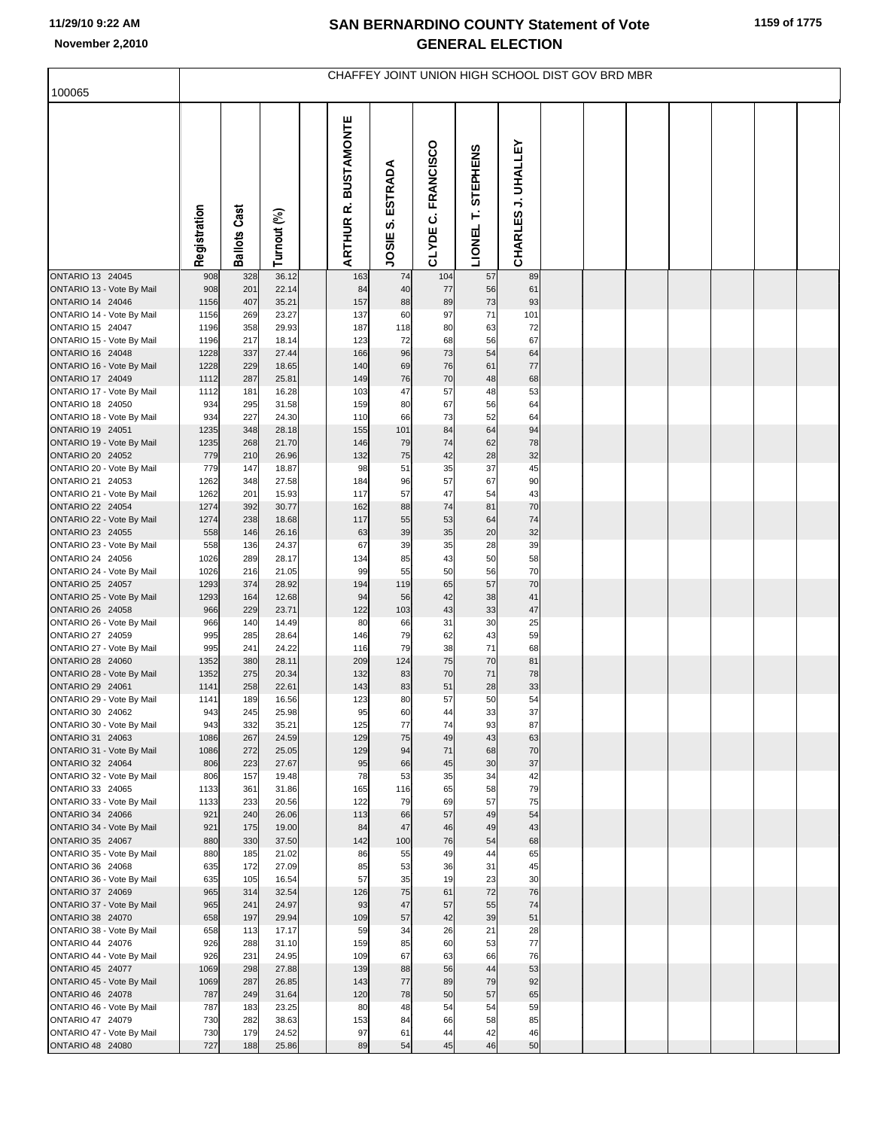| 100065                                               |              |                     |                | CHAFFEY JOINT UNION HIGH SCHOOL DIST GOV BRD MBR |                       |                       |                                       |                          |  |  |  |  |
|------------------------------------------------------|--------------|---------------------|----------------|--------------------------------------------------|-----------------------|-----------------------|---------------------------------------|--------------------------|--|--|--|--|
|                                                      | Registration | <b>Ballots Cast</b> | Turnout (%)    | <b>BUSTAMONTE</b><br>œ<br><b>ARTHUR</b>          | ESTRADA<br>ဟ<br>JOSIE | C. FRANCISCO<br>CLYDE | <b>STEPHENS</b><br>Ë<br><b>LIONEL</b> | <b>CHARLESJ. UHALLEY</b> |  |  |  |  |
| <b>ONTARIO 13 24045</b>                              | 908          | 328                 | 36.12          | 163                                              | 74                    | 104                   | 57                                    | 89                       |  |  |  |  |
| ONTARIO 13 - Vote By Mail<br>ONTARIO 14 24046        | 908<br>1156  | 201<br>407          | 22.14<br>35.21 | 84<br>157                                        | 40<br>88              | 77<br>89              | 56<br>73                              | 61<br>93                 |  |  |  |  |
| ONTARIO 14 - Vote By Mail                            | 1156         | 269                 | 23.27          | 137                                              | 60                    | 97                    | 71                                    | 101                      |  |  |  |  |
| <b>ONTARIO 15 24047</b>                              | 1196         | 358<br>217          | 29.93          | 187                                              | 118                   | 80<br>68              | 63<br>56                              | 72<br>67                 |  |  |  |  |
| ONTARIO 15 - Vote By Mail<br>ONTARIO 16 24048        | 1196<br>1228 | 337                 | 18.14<br>27.44 | 123<br>166                                       | 72<br>96              | 73                    | 54                                    | 64                       |  |  |  |  |
| ONTARIO 16 - Vote By Mail                            | 1228         | 229                 | 18.65          | 140                                              | 69                    | 76                    | 61                                    | $77 \,$                  |  |  |  |  |
| ONTARIO 17 24049                                     | 1112         | 287                 | 25.81          | 149                                              | 76                    | 70                    | 48                                    | 68                       |  |  |  |  |
| ONTARIO 17 - Vote By Mail<br>ONTARIO 18 24050        | 1112<br>934  | 181<br>295          | 16.28<br>31.58 | 103<br>159                                       | 47<br>80              | 57<br>67              | 48<br>56                              | 53<br>64                 |  |  |  |  |
| ONTARIO 18 - Vote By Mail                            | 934          | 227                 | 24.30          | 110                                              | 66                    | 73                    | 52                                    | 64                       |  |  |  |  |
| ONTARIO 19 24051                                     | 1235         | 348                 | 28.18          | 155                                              | 101                   | 84                    | 64                                    | 94                       |  |  |  |  |
| ONTARIO 19 - Vote By Mail<br><b>ONTARIO 20 24052</b> | 1235<br>779  | 268<br>210          | 21.70<br>26.96 | 146<br>132                                       | 79<br>75              | 74<br>42              | 62<br>28                              | 78<br>32                 |  |  |  |  |
| ONTARIO 20 - Vote By Mail                            | 779          | 147                 | 18.87          | 98                                               | 51                    | 35                    | 37                                    | 45                       |  |  |  |  |
| ONTARIO 21 24053                                     | 1262         | 348                 | 27.58          | 184                                              | 96                    | 57                    | 67                                    | 90                       |  |  |  |  |
| ONTARIO 21 - Vote By Mail<br><b>ONTARIO 22 24054</b> | 1262<br>1274 | 201<br>392          | 15.93<br>30.77 | 117<br>162                                       | 57<br>88              | 47<br>74              | 54<br>81                              | 43<br>70                 |  |  |  |  |
| ONTARIO 22 - Vote By Mail                            | 1274         | 238                 | 18.68          | 117                                              | 55                    | 53                    | 64                                    | 74                       |  |  |  |  |
| ONTARIO 23 24055                                     | 558          | 146                 | 26.16          | 63                                               | 39                    | 35                    | 20                                    | 32                       |  |  |  |  |
| ONTARIO 23 - Vote By Mail<br>ONTARIO 24 24056        | 558<br>1026  | 136<br>289          | 24.37<br>28.17 | 67<br>134                                        | 39<br>85              | 35<br>43              | 28<br>50                              | 39<br>58                 |  |  |  |  |
| ONTARIO 24 - Vote By Mail                            | 1026         | 216                 | 21.05          | 99                                               | 55                    | 50                    | 56                                    | 70                       |  |  |  |  |
| <b>ONTARIO 25 24057</b>                              | 1293         | 374                 | 28.92          | 194                                              | 119                   | 65                    | 57                                    | 70                       |  |  |  |  |
| ONTARIO 25 - Vote By Mail<br>ONTARIO 26 24058        | 1293<br>966  | 164<br>229          | 12.68<br>23.71 | 94<br>122                                        | 56<br>103             | 42<br>43              | 38<br>33                              | 41<br>47                 |  |  |  |  |
| ONTARIO 26 - Vote By Mail                            | 966          | 140                 | 14.49          | 80                                               | 66                    | 31                    | 30                                    | 25                       |  |  |  |  |
| ONTARIO 27 24059                                     | 995          | 285                 | 28.64          | 146                                              | 79                    | 62                    | 43                                    | 59                       |  |  |  |  |
| ONTARIO 27 - Vote By Mail<br><b>ONTARIO 28 24060</b> | 995<br>1352  | 241<br>380          | 24.22<br>28.11 | 116<br>209                                       | 79<br>124             | 38<br>75              | 71<br>70                              | 68<br>81                 |  |  |  |  |
| ONTARIO 28 - Vote By Mail                            | 1352         | 275                 | 20.34          | 132                                              | 83                    | 70                    | 71                                    | 78                       |  |  |  |  |
| <b>ONTARIO 29 24061</b>                              | 1141         | 258                 | 22.61          | 143                                              | 83                    | 51                    | 28                                    | 33                       |  |  |  |  |
| ONTARIO 29 - Vote By Mail                            | 1141         | 189                 | 16.56          | 123                                              | 80                    | 57                    | 50                                    | 54                       |  |  |  |  |
| ONTARIO 30 24062<br>ONTARIO 30 - Vote By Mail        | 943<br>943   | 245<br>332          | 25.98<br>35.21 | 95<br>125                                        | 60<br>77              | 44<br>74              | 33<br>93                              | 37<br>87                 |  |  |  |  |
| ONTARIO 31 24063                                     | 1086         | 267                 | 24.59          | 129                                              | 75                    | 49                    | 43                                    | 63                       |  |  |  |  |
| ONTARIO 31 - Vote By Mail<br>ONTARIO 32 24064        | 1086<br>806  | 272<br>223          | 25.05<br>27.67 | 129<br>95                                        | 94<br>66              | 71<br>45              | 68<br>30                              | 70<br>37                 |  |  |  |  |
| ONTARIO 32 - Vote By Mail                            | 806          | 157                 | 19.48          | 78                                               | 53                    | 35                    | 34                                    | 42                       |  |  |  |  |
| ONTARIO 33 24065                                     | 1133         | 361                 | 31.86          | 165                                              | 116                   | 65                    | 58                                    | 79                       |  |  |  |  |
| ONTARIO 33 - Vote By Mail<br>ONTARIO 34 24066        | 1133<br>921  | 233<br>240          | 20.56<br>26.06 | 122<br>113                                       | 79<br>66              | 69<br>57              | 57<br>49                              | 75<br>54                 |  |  |  |  |
| ONTARIO 34 - Vote By Mail                            | 921          | 175                 | 19.00          | 84                                               | 47                    | 46                    | 49                                    | 43                       |  |  |  |  |
| ONTARIO 35 24067                                     | 880          | 330                 | 37.50          | 142                                              | 100                   | 76                    | 54                                    | 68                       |  |  |  |  |
| ONTARIO 35 - Vote By Mail<br>ONTARIO 36 24068        | 880<br>635   | 185<br>172          | 21.02<br>27.09 | 86<br>85                                         | 55<br>53              | 49<br>36              | 44<br>31                              | 65<br>45                 |  |  |  |  |
| ONTARIO 36 - Vote By Mail                            | 635          | 105                 | 16.54          | 57                                               | 35                    | 19                    | 23                                    | 30                       |  |  |  |  |
| ONTARIO 37 24069                                     | 965          | 314                 | 32.54          | 126                                              | 75                    | 61                    | 72                                    | 76                       |  |  |  |  |
| ONTARIO 37 - Vote By Mail                            | 965<br>658   | 241<br>197          | 24.97          | 93<br>109                                        | 47<br>57              | 57<br>42              | 55<br>39                              | 74<br>51                 |  |  |  |  |
| ONTARIO 38 24070<br>ONTARIO 38 - Vote By Mail        | 658          | 113                 | 29.94<br>17.17 | 59                                               | 34                    | 26                    | 21                                    | 28                       |  |  |  |  |
| ONTARIO 44 24076                                     | 926          | 288                 | 31.10          | 159                                              | 85                    | 60                    | 53                                    | 77                       |  |  |  |  |
| ONTARIO 44 - Vote By Mail                            | 926          | 231                 | 24.95          | 109                                              | 67                    | 63                    | 66                                    | 76                       |  |  |  |  |
| <b>ONTARIO 45 24077</b><br>ONTARIO 45 - Vote By Mail | 1069<br>1069 | 298<br>287          | 27.88<br>26.85 | 139<br>143                                       | 88<br>77              | 56<br>89              | 44<br>79                              | 53<br>92                 |  |  |  |  |
| ONTARIO 46 24078                                     | 787          | 249                 | 31.64          | 120                                              | 78                    | 50                    | 57                                    | 65                       |  |  |  |  |
| ONTARIO 46 - Vote By Mail                            | 787          | 183                 | 23.25          | 80                                               | 48                    | 54                    | 54                                    | 59                       |  |  |  |  |
| ONTARIO 47 24079<br>ONTARIO 47 - Vote By Mail        | 730<br>730   | 282<br>179          | 38.63<br>24.52 | 153<br>97                                        | 84<br>61              | 66<br>44              | 58<br>42                              | 85<br>46                 |  |  |  |  |
| ONTARIO 48 24080                                     | 727          | 188                 | 25.86          | 89                                               | 54                    | 45                    | 46                                    | 50                       |  |  |  |  |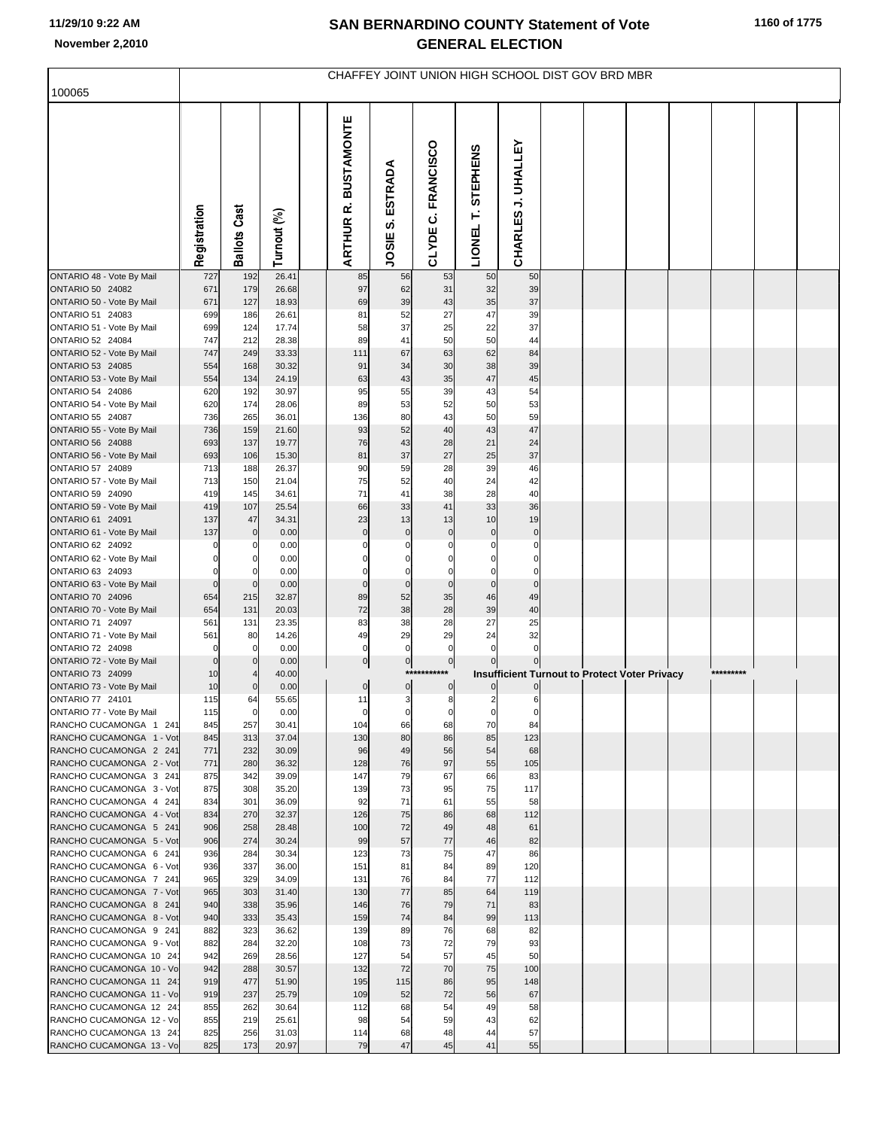| 100065                                              | CHAFFEY JOINT UNION HIGH SCHOOL DIST GOV BRD MBR |                     |                |  |                                         |                         |                         |                                       |                                                                   |  |  |  |           |  |
|-----------------------------------------------------|--------------------------------------------------|---------------------|----------------|--|-----------------------------------------|-------------------------|-------------------------|---------------------------------------|-------------------------------------------------------------------|--|--|--|-----------|--|
|                                                     |                                                  |                     |                |  |                                         |                         |                         |                                       |                                                                   |  |  |  |           |  |
|                                                     | Registration                                     | <b>Ballots Cast</b> | Turnout (%)    |  | <b>BUSTAMONTE</b><br>œ<br><b>ARTHUR</b> | ESTRADA<br>ທ່<br>JOSIE  | FRANCISCO<br>ن<br>CLYDE | <b>STEPHENS</b><br>Ë<br><b>LIONEL</b> | <b>CHARLES J. UHALLEY</b>                                         |  |  |  |           |  |
| ONTARIO 48 - Vote By Mail                           | 727                                              | 192                 | 26.41          |  | 85                                      | 56                      | 53                      | 50                                    | 50                                                                |  |  |  |           |  |
| ONTARIO 50 24082<br>ONTARIO 50 - Vote By Mail       | 671<br>671                                       | 179<br>127          | 26.68<br>18.93 |  | 97<br>69                                | 62<br>39                | 31<br>43                | 32<br>35                              | 39<br>37                                                          |  |  |  |           |  |
| ONTARIO 51 24083                                    | 699                                              | 186                 | 26.61          |  | 81                                      | 52                      | 27                      | 47                                    | 39                                                                |  |  |  |           |  |
| ONTARIO 51 - Vote By Mail                           | 699                                              | 124                 | 17.74          |  | 58                                      | 37                      | 25                      | 22                                    | 37                                                                |  |  |  |           |  |
| ONTARIO 52 24084                                    | 747                                              | 212                 | 28.38          |  | 89                                      | 41                      | 50                      | 50                                    | 44                                                                |  |  |  |           |  |
| ONTARIO 52 - Vote By Mail<br>ONTARIO 53 24085       | 747<br>554                                       | 249<br>168          | 33.33<br>30.32 |  | 111<br>91                               | 67<br>34                | 63<br>30                | 62<br>38                              | 84<br>39                                                          |  |  |  |           |  |
| ONTARIO 53 - Vote By Mail                           | 554                                              | 134                 | 24.19          |  | 63                                      | 43                      | 35                      | 47                                    | 45                                                                |  |  |  |           |  |
| ONTARIO 54 24086                                    | 620                                              | 192                 | 30.97          |  | 95                                      | 55                      | 39                      | 43                                    | 54                                                                |  |  |  |           |  |
| ONTARIO 54 - Vote By Mail                           | 620                                              | 174                 | 28.06          |  | 89                                      | 53                      | 52                      | 50                                    | 53                                                                |  |  |  |           |  |
| ONTARIO 55 24087<br>ONTARIO 55 - Vote By Mail       | 736<br>736                                       | 265<br>159          | 36.01<br>21.60 |  | 136<br>93                               | 80<br>52                | 43<br>40                | 50<br>43                              | 59<br>47                                                          |  |  |  |           |  |
| ONTARIO 56 24088                                    | 693                                              | 137                 | 19.77          |  | 76                                      | 43                      | 28                      | 21                                    | 24                                                                |  |  |  |           |  |
| ONTARIO 56 - Vote By Mail                           | 693                                              | 106                 | 15.30          |  | 81                                      | 37                      | 27                      | 25                                    | 37                                                                |  |  |  |           |  |
| ONTARIO 57 24089                                    | 713                                              | 188                 | 26.37          |  | 90                                      | 59                      | 28                      | 39                                    | 46                                                                |  |  |  |           |  |
| ONTARIO 57 - Vote By Mail<br>ONTARIO 59 24090       | 713<br>419                                       | 150<br>145          | 21.04<br>34.61 |  | 75<br>71                                | 52<br>41                | 40<br>38                | 24<br>28                              | 42<br>40                                                          |  |  |  |           |  |
| ONTARIO 59 - Vote By Mail                           | 419                                              | 107                 | 25.54          |  | 66                                      | 33                      | 41                      | 33                                    | 36                                                                |  |  |  |           |  |
| ONTARIO 61 24091                                    | 137                                              | 47                  | 34.31          |  | 23                                      | 13                      | 13                      | 10                                    | 19                                                                |  |  |  |           |  |
| ONTARIO 61 - Vote By Mail<br>ONTARIO 62 24092       | 137                                              | $\mathbf 0$         | 0.00<br>0.00   |  | $\mathbf 0$<br>C                        | $\pmb{0}$<br>0          | $\pmb{0}$<br>0          | $\mathbf 0$                           | $\pmb{0}$<br>0                                                    |  |  |  |           |  |
| ONTARIO 62 - Vote By Mail                           | $\Omega$                                         | 0<br>0              | 0.00           |  | $\mathsf{C}$                            | 0                       | $\Omega$                |                                       | $\Omega$                                                          |  |  |  |           |  |
| ONTARIO 63 24093                                    | 0                                                | $\Omega$            | 0.00           |  |                                         | 0                       | 0                       |                                       | 0                                                                 |  |  |  |           |  |
| ONTARIO 63 - Vote By Mail                           | $\mathbf 0$                                      | $\mathbf 0$         | 0.00           |  | $\mathbf 0$                             | $\pmb{0}$               | $\mathbf 0$             | $\mathbf 0$                           | $\mathbf 0$                                                       |  |  |  |           |  |
| ONTARIO 70 24096<br>ONTARIO 70 - Vote By Mail       | 654<br>654                                       | 215<br>131          | 32.87<br>20.03 |  | 89<br>72                                | 52<br>38                | 35<br>28                | 46<br>39                              | 49<br>40                                                          |  |  |  |           |  |
| ONTARIO 71 24097                                    | 561                                              | 131                 | 23.35          |  | 83                                      | 38                      | 28                      | 27                                    | 25                                                                |  |  |  |           |  |
| ONTARIO 71 - Vote By Mail                           | 561                                              | 80                  | 14.26          |  | 49                                      | 29                      | 29                      | 24                                    | 32                                                                |  |  |  |           |  |
| ONTARIO 72 24098                                    | 0                                                | $\mathbf 0$         | 0.00           |  | $\mathbf 0$                             | $\mathbf 0$             | $\mathbf 0$             | $\Omega$                              | $\mathbf 0$                                                       |  |  |  |           |  |
| ONTARIO 72 - Vote By Mail<br>ONTARIO 73 24099       | $\mathbf 0$<br>10                                | $\mathbf 0$         | 0.00<br>40.00  |  | $\overline{0}$                          | 0 <br>$***$             | $\overline{0}$          |                                       | $\pmb{0}$<br><b>Insufficient Turnout to Protect Voter Privacy</b> |  |  |  | ********* |  |
| ONTARIO 73 - Vote By Mail                           | 10                                               | $\overline{0}$      | 0.00           |  | $\pmb{0}$                               | $\overline{0}$          | $\pmb{0}$               |                                       |                                                                   |  |  |  |           |  |
| ONTARIO 77 24101                                    | 115                                              | 64                  | 55.65          |  | 11                                      | $\overline{\mathbf{3}}$ | 8                       | $\overline{a}$                        | 6                                                                 |  |  |  |           |  |
| ONTARIO 77 - Vote By Mail<br>RANCHO CUCAMONGA 1 241 | 115                                              | $\circ$<br>257      | 0.00           |  | $\mathbf 0$                             | $\mathbf 0$             | $\mathbf 0$             | 70                                    | $\Omega$<br>84                                                    |  |  |  |           |  |
| RANCHO CUCAMONGA 1 - Vot                            | 845<br>845                                       | 313                 | 30.41<br>37.04 |  | 104<br>130                              | 66<br>80                | 68<br>86                | 85                                    | 123                                                               |  |  |  |           |  |
| RANCHO CUCAMONGA 2 241                              | 771                                              | 232                 | 30.09          |  | 96                                      | 49                      | 56                      | 54                                    | 68                                                                |  |  |  |           |  |
| RANCHO CUCAMONGA 2 - Vot                            | 771                                              | 280                 | 36.32          |  | 128                                     | 76                      | 97                      | 55                                    | 105                                                               |  |  |  |           |  |
| RANCHO CUCAMONGA 3 241<br>RANCHO CUCAMONGA 3 - Vot  | 875<br>875                                       | 342<br>308          | 39.09<br>35.20 |  | 147<br>139                              | 79<br>73                | 67<br>95                | 66<br>75                              | 83<br>117                                                         |  |  |  |           |  |
| RANCHO CUCAMONGA 4 241                              | 834                                              | 301                 | 36.09          |  | 92                                      | 71                      | 61                      | 55                                    | 58                                                                |  |  |  |           |  |
| RANCHO CUCAMONGA 4 - Vot                            | 834                                              | 270                 | 32.37          |  | 126                                     | 75                      | 86                      | 68                                    | 112                                                               |  |  |  |           |  |
| RANCHO CUCAMONGA 5 241                              | 906                                              | 258                 | 28.48          |  | 100                                     | 72                      | 49                      | 48                                    | 61                                                                |  |  |  |           |  |
| RANCHO CUCAMONGA 5 - Vot<br>RANCHO CUCAMONGA 6 241  | 906<br>936                                       | 274<br>284          | 30.24<br>30.34 |  | 99<br>123                               | 57<br>73                | 77<br>75                | 46<br>47                              | 82<br>86                                                          |  |  |  |           |  |
| RANCHO CUCAMONGA 6 - Vot                            | 936                                              | 337                 | 36.00          |  | 151                                     | 81                      | 84                      | 89                                    | 120                                                               |  |  |  |           |  |
| RANCHO CUCAMONGA 7 241                              | 965                                              | 329                 | 34.09          |  | 131                                     | 76                      | 84                      | 77                                    | 112                                                               |  |  |  |           |  |
| RANCHO CUCAMONGA 7 - Vot                            | 965                                              | 303                 | 31.40          |  | 130                                     | 77                      | 85                      | 64                                    | 119                                                               |  |  |  |           |  |
| RANCHO CUCAMONGA 8 241<br>RANCHO CUCAMONGA 8 - Vot  | 940<br>940                                       | 338<br>333          | 35.96<br>35.43 |  | 146<br>159                              | 76<br>74                | 79<br>84                | 71<br>99                              | 83<br>113                                                         |  |  |  |           |  |
| RANCHO CUCAMONGA 9 241                              | 882                                              | 323                 | 36.62          |  | 139                                     | 89                      | 76                      | 68                                    | 82                                                                |  |  |  |           |  |
| RANCHO CUCAMONGA 9 - Vot                            | 882                                              | 284                 | 32.20          |  | 108                                     | 73                      | 72                      | 79                                    | 93                                                                |  |  |  |           |  |
| RANCHO CUCAMONGA 10 24<br>RANCHO CUCAMONGA 10 - Vo  | 942<br>942                                       | 269<br>288          | 28.56<br>30.57 |  | 127<br>132                              | 54<br>72                | 57<br>70                | 45<br>75                              | 50<br>100                                                         |  |  |  |           |  |
| RANCHO CUCAMONGA 11 24                              | 919                                              | 477                 | 51.90          |  | 195                                     | 115                     | 86                      | 95                                    | 148                                                               |  |  |  |           |  |
| RANCHO CUCAMONGA 11 - Vo                            | 919                                              | 237                 | 25.79          |  | 109                                     | 52                      | 72                      | 56                                    | 67                                                                |  |  |  |           |  |
| RANCHO CUCAMONGA 12 24                              | 855                                              | 262                 | 30.64          |  | 112                                     | 68                      | 54                      | 49                                    | 58                                                                |  |  |  |           |  |
| RANCHO CUCAMONGA 12 - Vo<br>RANCHO CUCAMONGA 13 24  | 855<br>825                                       | 219<br>256          | 25.61<br>31.03 |  | 98<br>114                               | 54<br>68                | 59<br>48                | 43<br>44                              | 62<br>57                                                          |  |  |  |           |  |
| RANCHO CUCAMONGA 13 - Vo                            | 825                                              | 173                 | 20.97          |  | 79                                      | 47                      | 45                      | 41                                    | 55                                                                |  |  |  |           |  |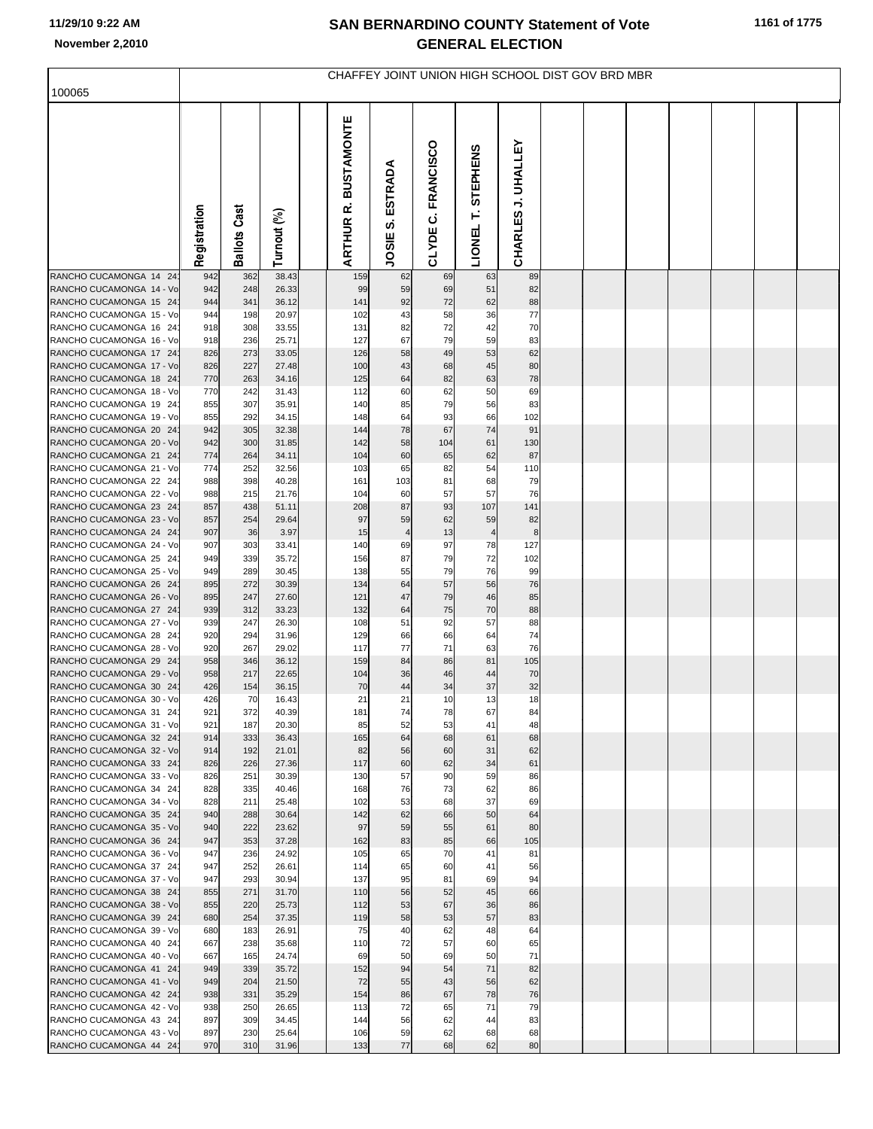| 100065                                             | CHAFFEY JOINT UNION HIGH SCHOOL DIST GOV BRD MBR |                 |                |  |                                         |                        |                         |                                |                           |  |  |  |  |  |
|----------------------------------------------------|--------------------------------------------------|-----------------|----------------|--|-----------------------------------------|------------------------|-------------------------|--------------------------------|---------------------------|--|--|--|--|--|
|                                                    |                                                  |                 |                |  |                                         |                        |                         |                                |                           |  |  |  |  |  |
|                                                    | Registration                                     | Cast<br>Ballots | Turnout (%)    |  | <b>BUSTAMONTE</b><br>œ<br><b>ARTHUR</b> | ESTRADA<br>ທ່<br>JOSIE | FRANCISCO<br>ن<br>CLYDE | <b>STEPHENS</b><br>É<br>LIONEL | <b>CHARLES J. UHALLEY</b> |  |  |  |  |  |
| RANCHO CUCAMONGA 14 24                             | 942                                              | 362             | 38.43          |  | 159                                     | 62                     | 69                      | 63                             | 89                        |  |  |  |  |  |
| RANCHO CUCAMONGA 14 - Vo                           | 942                                              | 248             | 26.33          |  | 99                                      | 59                     | 69                      | 51                             | 82                        |  |  |  |  |  |
| RANCHO CUCAMONGA 15 24<br>RANCHO CUCAMONGA 15 - Vo | 944<br>944                                       | 341<br>198      | 36.12<br>20.97 |  | 141<br>102                              | 92<br>43               | 72<br>58                | 62<br>36                       | 88<br>77                  |  |  |  |  |  |
| RANCHO CUCAMONGA 16 24                             | 918                                              | 308             | 33.55          |  | 131                                     | 82                     | 72                      | 42                             | 70                        |  |  |  |  |  |
| RANCHO CUCAMONGA 16 - Vo                           | 918                                              | 236             | 25.71          |  | 127                                     | 67                     | 79                      | 59                             | 83                        |  |  |  |  |  |
| RANCHO CUCAMONGA 17 24                             | 826                                              | 273             | 33.05          |  | 126                                     | 58                     | 49                      | 53                             | 62                        |  |  |  |  |  |
| RANCHO CUCAMONGA 17 - Vo                           | 826                                              | 227             | 27.48          |  | 100                                     | 43                     | 68                      | 45                             | 80                        |  |  |  |  |  |
| RANCHO CUCAMONGA 18 24                             | 770                                              | 263             | 34.16          |  | 125                                     | 64                     | 82                      | 63                             | 78                        |  |  |  |  |  |
| RANCHO CUCAMONGA 18 - Vo<br>RANCHO CUCAMONGA 19 24 | 770<br>855                                       | 242<br>307      | 31.43<br>35.91 |  | 112<br>140                              | 60<br>85               | 62<br>79                | 50<br>56                       | 69<br>83                  |  |  |  |  |  |
| RANCHO CUCAMONGA 19 - Vo                           | 855                                              | 292             | 34.15          |  | 148                                     | 64                     | 93                      | 66                             | 102                       |  |  |  |  |  |
| RANCHO CUCAMONGA 20 24                             | 942                                              | 305             | 32.38          |  | 144                                     | 78                     | 67                      | 74                             | 91                        |  |  |  |  |  |
| RANCHO CUCAMONGA 20 - Vo                           | 942                                              | 300             | 31.85          |  | 142                                     | 58                     | 104                     | 61                             | 130                       |  |  |  |  |  |
| RANCHO CUCAMONGA 21 24                             | 774                                              | 264             | 34.11          |  | 104                                     | 60                     | 65                      | 62                             | 87                        |  |  |  |  |  |
| RANCHO CUCAMONGA 21 - Vo<br>RANCHO CUCAMONGA 22 24 | 774<br>988                                       | 252<br>398      | 32.56<br>40.28 |  | 103<br>161                              | 65<br>103              | 82<br>81                | 54<br>68                       | 110<br>79                 |  |  |  |  |  |
| RANCHO CUCAMONGA 22 - Vo                           | 988                                              | 215             | 21.76          |  | 104                                     | 60                     | 57                      | 57                             | 76                        |  |  |  |  |  |
| RANCHO CUCAMONGA 23 24                             | 857                                              | 438             | 51.11          |  | 208                                     | 87                     | 93                      | 107                            | 141                       |  |  |  |  |  |
| RANCHO CUCAMONGA 23 - Vo                           | 857                                              | 254             | 29.64          |  | 97                                      | 59                     | 62                      | 59                             | 82                        |  |  |  |  |  |
| RANCHO CUCAMONGA 24 24                             | 907                                              | 36              | 3.97           |  | 15                                      | $\overline{4}$         | 13                      | $\overline{4}$                 | 8                         |  |  |  |  |  |
| RANCHO CUCAMONGA 24 - Vo<br>RANCHO CUCAMONGA 25 24 | 907<br>949                                       | 303<br>339      | 33.41<br>35.72 |  | 140<br>156                              | 69<br>87               | 97<br>79                | 78<br>72                       | 127<br>102                |  |  |  |  |  |
| RANCHO CUCAMONGA 25 - Vo                           | 949                                              | 289             | 30.45          |  | 138                                     | 55                     | 79                      | 76                             | 99                        |  |  |  |  |  |
| RANCHO CUCAMONGA 26 24                             | 895                                              | 272             | 30.39          |  | 134                                     | 64                     | 57                      | 56                             | 76                        |  |  |  |  |  |
| RANCHO CUCAMONGA 26 - Vo                           | 895                                              | 247             | 27.60          |  | 121                                     | 47                     | 79                      | 46                             | 85                        |  |  |  |  |  |
| RANCHO CUCAMONGA 27 24                             | 939                                              | 312             | 33.23          |  | 132                                     | 64                     | 75                      | 70                             | 88                        |  |  |  |  |  |
| RANCHO CUCAMONGA 27 - Vo<br>RANCHO CUCAMONGA 28 24 | 939<br>920                                       | 247<br>294      | 26.30<br>31.96 |  | 108<br>129                              | 51<br>66               | 92<br>66                | 57<br>64                       | 88<br>74                  |  |  |  |  |  |
| RANCHO CUCAMONGA 28 - Vo                           | 920                                              | 267             | 29.02          |  | 117                                     | 77                     | 71                      | 63                             | 76                        |  |  |  |  |  |
| RANCHO CUCAMONGA 29 24                             | 958                                              | 346             | 36.12          |  | 159                                     | 84                     | 86                      | 81                             | 105                       |  |  |  |  |  |
| RANCHO CUCAMONGA 29 - Vo                           | 958                                              | 217             | 22.65          |  | 104                                     | 36                     | 46                      | 44                             | 70                        |  |  |  |  |  |
| RANCHO CUCAMONGA 30 24                             | 426                                              | 154             | 36.15          |  | 70                                      | 44                     | 34                      | 37                             | 32                        |  |  |  |  |  |
| RANCHO CUCAMONGA 30 - Vo<br>RANCHO CUCAMONGA 31 24 | 426<br>921                                       | 70<br>372       | 16.43<br>40.39 |  | 21<br>181                               | 21<br>74               | 10<br>78                | 13<br>67                       | 18<br>84                  |  |  |  |  |  |
| RANCHO CUCAMONGA 31 - Vo                           | 921                                              | 187             | 20.30          |  | 85                                      | 52                     | 53                      | 41                             | 48                        |  |  |  |  |  |
| RANCHO CUCAMONGA 32 24                             | 914                                              | 333             | 36.43          |  | 165                                     | 64                     | 68                      | 61                             | 68                        |  |  |  |  |  |
| RANCHO CUCAMONGA 32 - Vo                           | 914                                              | 192             | 21.01          |  | 82                                      | 56                     | 60                      | 31                             | 62                        |  |  |  |  |  |
| RANCHO CUCAMONGA 33 24                             | 826                                              | 226<br>251      | 27.36          |  | 117                                     | 60<br>57               | 62<br>90                | 34                             | 61                        |  |  |  |  |  |
| RANCHO CUCAMONGA 33 - Vo<br>RANCHO CUCAMONGA 34 24 | 826<br>828                                       | 335             | 30.39<br>40.46 |  | 130<br>168                              | 76                     | 73                      | 59<br>62                       | 86<br>86                  |  |  |  |  |  |
| RANCHO CUCAMONGA 34 - Vo                           | 828                                              | 211             | 25.48          |  | 102                                     | 53                     | 68                      | 37                             | 69                        |  |  |  |  |  |
| RANCHO CUCAMONGA 35 24                             | 940                                              | 288             | 30.64          |  | 142                                     | 62                     | 66                      | 50                             | 64                        |  |  |  |  |  |
| RANCHO CUCAMONGA 35 - Vo                           | 940                                              | 222             | 23.62          |  | 97                                      | 59                     | 55                      | 61                             | 80                        |  |  |  |  |  |
| RANCHO CUCAMONGA 36 24                             | 947                                              | 353             | 37.28          |  | 162                                     | 83                     | 85<br>70                | 66                             | 105<br>81                 |  |  |  |  |  |
| RANCHO CUCAMONGA 36 - Vo<br>RANCHO CUCAMONGA 37 24 | 947<br>947                                       | 236<br>252      | 24.92<br>26.61 |  | 105<br>114                              | 65<br>65               | 60                      | 41<br>41                       | 56                        |  |  |  |  |  |
| RANCHO CUCAMONGA 37 - Vo                           | 947                                              | 293             | 30.94          |  | 137                                     | 95                     | 81                      | 69                             | 94                        |  |  |  |  |  |
| RANCHO CUCAMONGA 38 24                             | 855                                              | 271             | 31.70          |  | 110                                     | 56                     | 52                      | 45                             | 66                        |  |  |  |  |  |
| RANCHO CUCAMONGA 38 - Vo                           | 855                                              | 220             | 25.73          |  | 112                                     | 53                     | 67                      | 36                             | 86                        |  |  |  |  |  |
| RANCHO CUCAMONGA 39 24                             | 680                                              | 254             | 37.35          |  | 119                                     | 58                     | 53                      | 57                             | 83                        |  |  |  |  |  |
| RANCHO CUCAMONGA 39 - Vo<br>RANCHO CUCAMONGA 40 24 | 680<br>667                                       | 183<br>238      | 26.91<br>35.68 |  | 75<br>110                               | 40<br>72               | 62<br>57                | 48<br>60                       | 64<br>65                  |  |  |  |  |  |
| RANCHO CUCAMONGA 40 - Vo                           | 667                                              | 165             | 24.74          |  | 69                                      | 50                     | 69                      | 50                             | 71                        |  |  |  |  |  |
| RANCHO CUCAMONGA 41 24                             | 949                                              | 339             | 35.72          |  | 152                                     | 94                     | 54                      | 71                             | 82                        |  |  |  |  |  |
| RANCHO CUCAMONGA 41 - Vo                           | 949                                              | 204             | 21.50          |  | 72                                      | 55                     | 43                      | 56                             | 62                        |  |  |  |  |  |
| RANCHO CUCAMONGA 42 24                             | 938                                              | 331             | 35.29          |  | 154                                     | 86<br>72               | 67<br>65                | 78<br>71                       | 76                        |  |  |  |  |  |
| RANCHO CUCAMONGA 42 - Vo<br>RANCHO CUCAMONGA 43 24 | 938<br>897                                       | 250<br>309      | 26.65<br>34.45 |  | 113<br>144                              | 56                     | 62                      | 44                             | 79<br>83                  |  |  |  |  |  |
| RANCHO CUCAMONGA 43 - Vo                           | 897                                              | 230             | 25.64          |  | 106                                     | 59                     | 62                      | 68                             | 68                        |  |  |  |  |  |
| RANCHO CUCAMONGA 44 24                             | 970                                              | 310             | 31.96          |  | 133                                     | 77                     | 68                      | 62                             | 80                        |  |  |  |  |  |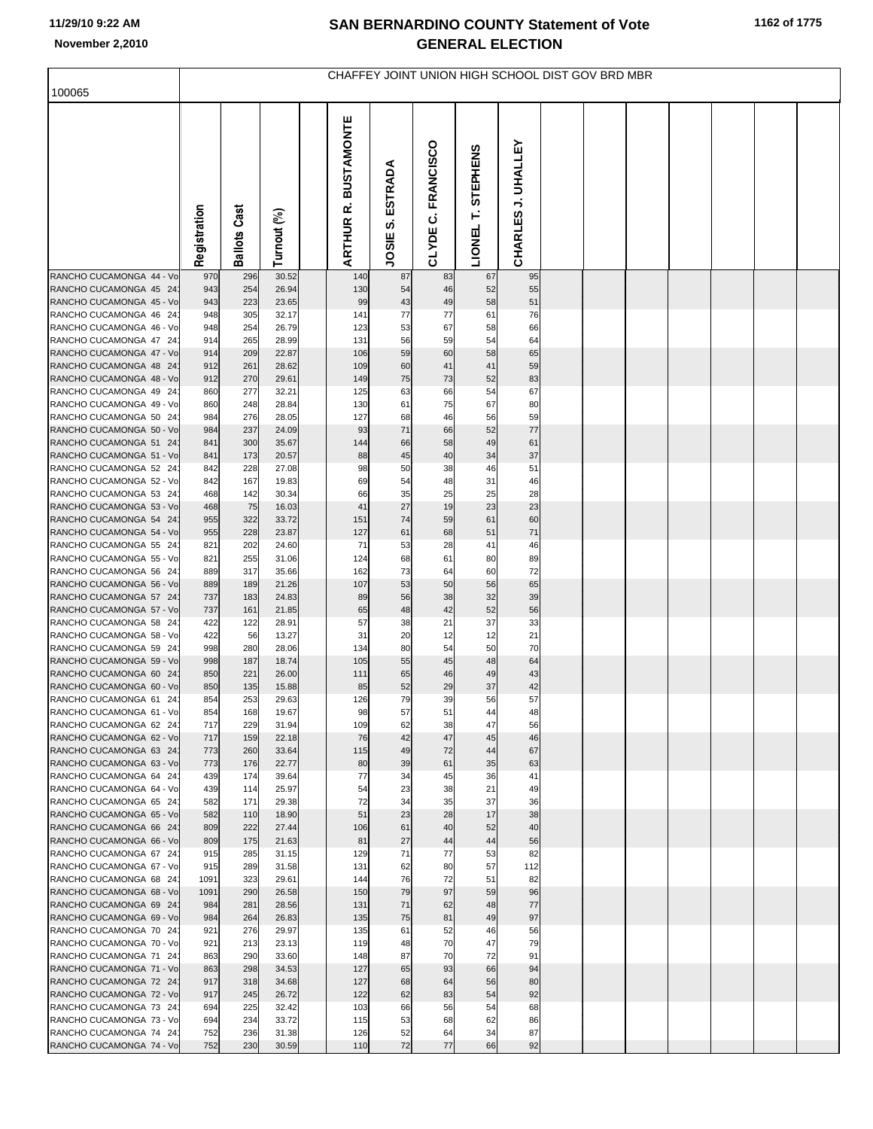| 100065                                             | CHAFFEY JOINT UNION HIGH SCHOOL DIST GOV BRD MBR |                        |                |  |                                         |                        |                                |                                       |                           |  |  |  |  |  |
|----------------------------------------------------|--------------------------------------------------|------------------------|----------------|--|-----------------------------------------|------------------------|--------------------------------|---------------------------------------|---------------------------|--|--|--|--|--|
|                                                    |                                                  |                        |                |  |                                         |                        |                                |                                       |                           |  |  |  |  |  |
|                                                    | Registration                                     | Cast<br><b>Ballots</b> | Turnout (%)    |  | <b>BUSTAMONTE</b><br>œ<br><b>ARTHUR</b> | ESTRADA<br>ທ່<br>JOSIE | <b>FRANCISCO</b><br>ن<br>CLYDE | <b>STEPHENS</b><br>É<br><b>LIONEL</b> | <b>CHARLES J. UHALLEY</b> |  |  |  |  |  |
| RANCHO CUCAMONGA 44 - Vo                           | 970                                              | 296                    | 30.52          |  | 140                                     | 87                     | 83                             | 67                                    | 95                        |  |  |  |  |  |
| RANCHO CUCAMONGA 45 24<br>RANCHO CUCAMONGA 45 - Vo | 943<br>943                                       | 254<br>223             | 26.94<br>23.65 |  | 130<br>99                               | 54<br>43               | 46<br>49                       | 52<br>58                              | 55<br>51                  |  |  |  |  |  |
| RANCHO CUCAMONGA 46 24                             | 948                                              | 305                    | 32.17          |  | 141                                     | 77                     | 77                             | 61                                    | 76                        |  |  |  |  |  |
| RANCHO CUCAMONGA 46 - Vo                           | 948                                              | 254                    | 26.79          |  | 123                                     | 53                     | 67                             | 58                                    | 66                        |  |  |  |  |  |
| RANCHO CUCAMONGA 47 24<br>RANCHO CUCAMONGA 47 - Vo | 914<br>914                                       | 265<br>209             | 28.99<br>22.87 |  | 131<br>106                              | 56<br>59               | 59<br>60                       | 54<br>58                              | 64<br>65                  |  |  |  |  |  |
| RANCHO CUCAMONGA 48 24                             | 912                                              | 261                    | 28.62          |  | 109                                     | 60                     | 41                             | 41                                    | 59                        |  |  |  |  |  |
| RANCHO CUCAMONGA 48 - Vo                           | 912                                              | 270                    | 29.61          |  | 149                                     | 75                     | 73                             | 52                                    | 83                        |  |  |  |  |  |
| RANCHO CUCAMONGA 49 24<br>RANCHO CUCAMONGA 49 - Vo | 860<br>860                                       | 277<br>248             | 32.21<br>28.84 |  | 125<br>130                              | 63<br>61               | 66<br>75                       | 54<br>67                              | 67<br>80                  |  |  |  |  |  |
| RANCHO CUCAMONGA 50 24                             | 984                                              | 276                    | 28.05          |  | 127                                     | 68                     | 46                             | 56                                    | 59                        |  |  |  |  |  |
| RANCHO CUCAMONGA 50 - Vo                           | 984                                              | 237                    | 24.09          |  | 93                                      | 71                     | 66                             | 52                                    | 77                        |  |  |  |  |  |
| RANCHO CUCAMONGA 51 24                             | 841                                              | 300                    | 35.67          |  | 144                                     | 66                     | 58                             | 49                                    | 61                        |  |  |  |  |  |
| RANCHO CUCAMONGA 51 - Vo<br>RANCHO CUCAMONGA 52 24 | 841<br>842                                       | 173<br>228             | 20.57<br>27.08 |  | 88<br>98                                | 45<br>50               | 40<br>38                       | 34<br>46                              | 37<br>51                  |  |  |  |  |  |
| RANCHO CUCAMONGA 52 - Vo                           | 842                                              | 167                    | 19.83          |  | 69                                      | 54                     | 48                             | 31                                    | 46                        |  |  |  |  |  |
| RANCHO CUCAMONGA 53 24                             | 468                                              | 142                    | 30.34          |  | 66                                      | 35                     | 25                             | 25                                    | 28                        |  |  |  |  |  |
| RANCHO CUCAMONGA 53 - Vo                           | 468                                              | 75                     | 16.03          |  | 41                                      | 27                     | 19                             | 23                                    | 23                        |  |  |  |  |  |
| RANCHO CUCAMONGA 54 24<br>RANCHO CUCAMONGA 54 - Vo | 955<br>955                                       | 322<br>228             | 33.72<br>23.87 |  | 151<br>127                              | 74<br>61               | 59<br>68                       | 61<br>51                              | 60<br>71                  |  |  |  |  |  |
| RANCHO CUCAMONGA 55 24                             | 821                                              | 202                    | 24.60          |  | 71                                      | 53                     | 28                             | 41                                    | 46                        |  |  |  |  |  |
| RANCHO CUCAMONGA 55 - Vo                           | 821                                              | 255                    | 31.06          |  | 124                                     | 68                     | 61                             | 80                                    | 89                        |  |  |  |  |  |
| RANCHO CUCAMONGA 56 24<br>RANCHO CUCAMONGA 56 - Vo | 889<br>889                                       | 317<br>189             | 35.66          |  | 162<br>107                              | 73<br>53               | 64<br>50                       | 60<br>56                              | 72<br>65                  |  |  |  |  |  |
| RANCHO CUCAMONGA 57 24                             | 737                                              | 183                    | 21.26<br>24.83 |  | 89                                      | 56                     | 38                             | 32                                    | 39                        |  |  |  |  |  |
| RANCHO CUCAMONGA 57 - Vo                           | 737                                              | 161                    | 21.85          |  | 65                                      | 48                     | 42                             | 52                                    | 56                        |  |  |  |  |  |
| RANCHO CUCAMONGA 58 24                             | 422                                              | 122                    | 28.91          |  | 57                                      | 38                     | 21                             | 37                                    | 33                        |  |  |  |  |  |
| RANCHO CUCAMONGA 58 - Vo<br>RANCHO CUCAMONGA 59 24 | 422<br>998                                       | 56<br>280              | 13.27<br>28.06 |  | 31<br>134                               | 20<br>80               | 12<br>54                       | 12<br>50                              | 21<br>70                  |  |  |  |  |  |
| RANCHO CUCAMONGA 59 - Vo                           | 998                                              | 187                    | 18.74          |  | 105                                     | 55                     | 45                             | 48                                    | 64                        |  |  |  |  |  |
| RANCHO CUCAMONGA 60 24                             | 850                                              | 221                    | 26.00          |  | 111                                     | 65                     | 46                             | 49                                    | 43                        |  |  |  |  |  |
| RANCHO CUCAMONGA 60 - Vo                           | 850                                              | 135                    | 15.88          |  | 85                                      | 52                     | 29                             | 37                                    | 42                        |  |  |  |  |  |
| RANCHO CUCAMONGA 61 24<br>RANCHO CUCAMONGA 61 - Vo | 854<br>854                                       | 253<br>168             | 29.63<br>19.67 |  | 126<br>98                               | 79<br>57               | 39<br>51                       | 56<br>44                              | 57<br>48                  |  |  |  |  |  |
| RANCHO CUCAMONGA 62 24                             | 717                                              | 229                    | 31.94          |  | 109                                     | 62                     | 38                             | 47                                    | 56                        |  |  |  |  |  |
| RANCHO CUCAMONGA 62 - Vo                           | 717                                              | 159                    | 22.18          |  | 76                                      | 42                     | 47                             | 45                                    | 46                        |  |  |  |  |  |
| RANCHO CUCAMONGA 63 24<br>RANCHO CUCAMONGA 63 - Vo | 773<br>773                                       | 260<br>176             | 33.64<br>22.77 |  | 115<br>80                               | 49<br>39               | 72<br>61                       | 44<br>35                              | 67<br>63                  |  |  |  |  |  |
| RANCHO CUCAMONGA 64 24                             | 439                                              | 174                    | 39.64          |  | 77                                      | 34                     | 45                             | 36                                    | 41                        |  |  |  |  |  |
| RANCHO CUCAMONGA 64 - Vo                           | 439                                              | 114                    | 25.97          |  | 54                                      | 23                     | 38                             | 21                                    | 49                        |  |  |  |  |  |
| RANCHO CUCAMONGA 65 24                             | 582                                              | 171                    | 29.38          |  | 72                                      | 34                     | 35                             | 37                                    | 36                        |  |  |  |  |  |
| RANCHO CUCAMONGA 65 - Vo<br>RANCHO CUCAMONGA 66 24 | 582<br>809                                       | 110<br>222             | 18.90<br>27.44 |  | 51<br>106                               | 23<br>61               | 28<br>40                       | 17<br>52                              | 38<br>40                  |  |  |  |  |  |
| RANCHO CUCAMONGA 66 - Vo                           | 809                                              | 175                    | 21.63          |  | 81                                      | 27                     | 44                             | 44                                    | 56                        |  |  |  |  |  |
| RANCHO CUCAMONGA 67 24                             | 915                                              | 285                    | 31.15          |  | 129                                     | 71                     | 77                             | 53                                    | 82                        |  |  |  |  |  |
| RANCHO CUCAMONGA 67 - Vo                           | 915                                              | 289                    | 31.58          |  | 131                                     | 62                     | 80                             | 57                                    | 112                       |  |  |  |  |  |
| RANCHO CUCAMONGA 68 24<br>RANCHO CUCAMONGA 68 - Vo | 1091<br>1091                                     | 323<br>290             | 29.61<br>26.58 |  | 144<br>150                              | 76<br>79               | 72<br>97                       | 51<br>59                              | 82<br>96                  |  |  |  |  |  |
| RANCHO CUCAMONGA 69 24                             | 984                                              | 281                    | 28.56          |  | 131                                     | 71                     | 62                             | 48                                    | 77                        |  |  |  |  |  |
| RANCHO CUCAMONGA 69 - Vo                           | 984                                              | 264                    | 26.83          |  | 135                                     | 75                     | 81                             | 49                                    | 97                        |  |  |  |  |  |
| RANCHO CUCAMONGA 70 24<br>RANCHO CUCAMONGA 70 - Vo | 921<br>921                                       | 276<br>213             | 29.97<br>23.13 |  | 135<br>119                              | 61<br>48               | 52<br>70                       | 46<br>47                              | 56<br>79                  |  |  |  |  |  |
| RANCHO CUCAMONGA 71 24                             | 863                                              | 290                    | 33.60          |  | 148                                     | 87                     | 70                             | 72                                    | 91                        |  |  |  |  |  |
| RANCHO CUCAMONGA 71 - Vo                           | 863                                              | 298                    | 34.53          |  | 127                                     | 65                     | 93                             | 66                                    | 94                        |  |  |  |  |  |
| RANCHO CUCAMONGA 72 24                             | 917                                              | 318                    | 34.68          |  | 127                                     | 68                     | 64                             | 56                                    | 80                        |  |  |  |  |  |
| RANCHO CUCAMONGA 72 - Vo<br>RANCHO CUCAMONGA 73 24 | 917<br>694                                       | 245<br>225             | 26.72<br>32.42 |  | 122<br>103                              | 62<br>66               | 83<br>56                       | 54<br>54                              | 92<br>68                  |  |  |  |  |  |
| RANCHO CUCAMONGA 73 - Vo                           | 694                                              | 234                    | 33.72          |  | 115                                     | 53                     | 68                             | 62                                    | 86                        |  |  |  |  |  |
| RANCHO CUCAMONGA 74 24                             | 752                                              | 236                    | 31.38          |  | 126                                     | 52                     | 64                             | 34                                    | 87                        |  |  |  |  |  |
| RANCHO CUCAMONGA 74 - Vo                           | 752                                              | 230                    | 30.59          |  | 110                                     | 72                     | 77                             | 66                                    | 92                        |  |  |  |  |  |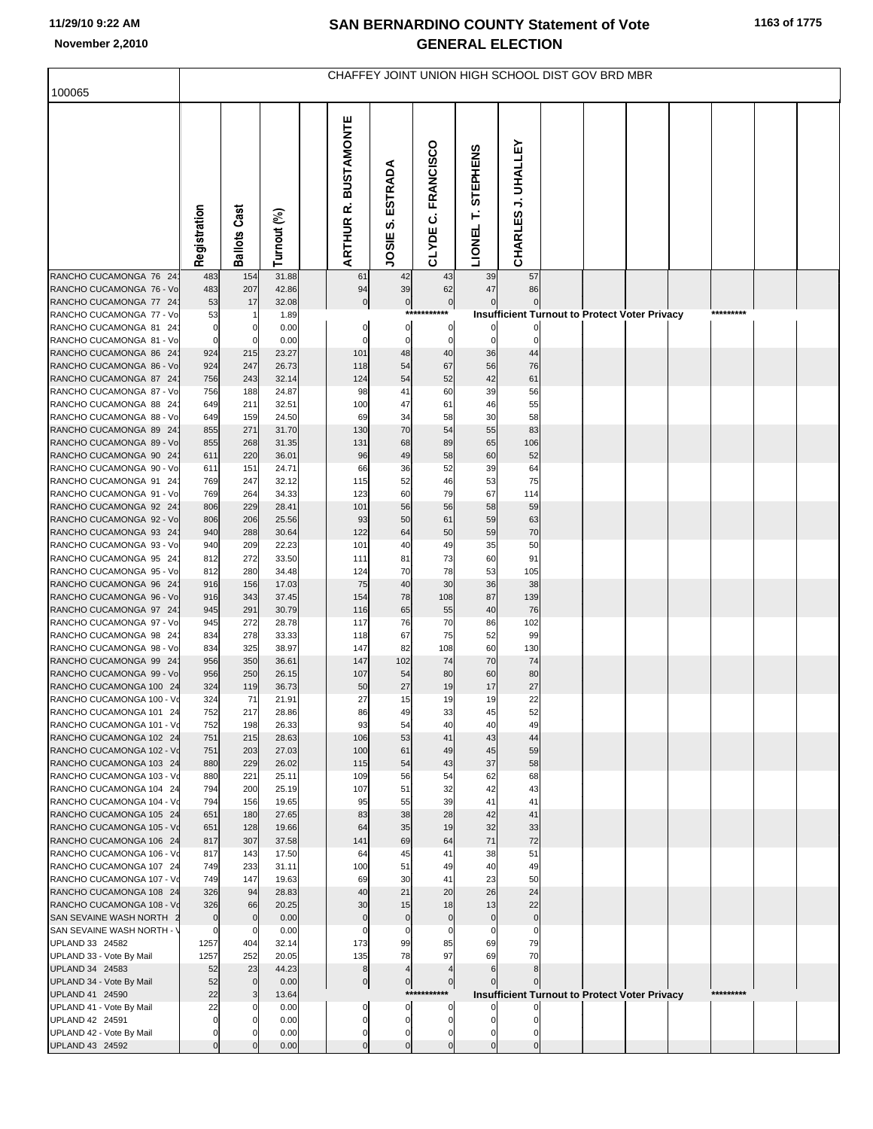|                                                      | CHAFFEY JOINT UNION HIGH SCHOOL DIST GOV BRD MBR |                     |                |  |                                      |                                |                       |                                |                                                      |  |  |  |           |  |
|------------------------------------------------------|--------------------------------------------------|---------------------|----------------|--|--------------------------------------|--------------------------------|-----------------------|--------------------------------|------------------------------------------------------|--|--|--|-----------|--|
| 100065                                               |                                                  |                     |                |  |                                      |                                |                       |                                |                                                      |  |  |  |           |  |
|                                                      | Registration                                     | <b>Ballots Cast</b> | Turnout (%)    |  | <b>BUSTAMONTE</b><br><b>ARTHURR.</b> | ESTRADA<br><b>ဟဲ</b><br>JOSIE: | C. FRANCISCO<br>CLYDE | <b>STEPHENS</b><br>Ë<br>LIONEL | <b>CHARLESJ. UHALLEY</b>                             |  |  |  |           |  |
| RANCHO CUCAMONGA 76 24                               | 483                                              | 154                 | 31.88          |  | 61                                   | 42                             | 43                    | 39                             | 57                                                   |  |  |  |           |  |
| RANCHO CUCAMONGA 76 - Vo<br>RANCHO CUCAMONGA 77 24   | 483<br>53                                        | 207<br>17           | 42.86<br>32.08 |  | 94<br>$\overline{0}$                 | 39<br>$\pmb{0}$                | 62<br>$\overline{0}$  | 47                             | 86                                                   |  |  |  |           |  |
| RANCHO CUCAMONGA 77 - Vo                             | 53                                               |                     | 1.89           |  |                                      |                                | ***********           |                                | <b>Insufficient Turnout to Protect Voter Privacy</b> |  |  |  | ********* |  |
| RANCHO CUCAMONGA 81 24                               | $\mathbf 0$                                      | 0                   | 0.00           |  | $\pmb{0}$                            | 0                              | 0                     |                                |                                                      |  |  |  |           |  |
| RANCHO CUCAMONGA 81 - Vo                             | $\mathbf 0$                                      |                     | 0.00           |  | $\mathbf 0$                          | $\mathbf 0$                    | $\mathbf 0$           | $\Omega$                       | $\Omega$                                             |  |  |  |           |  |
| RANCHO CUCAMONGA 86 24<br>RANCHO CUCAMONGA 86 - Vo   | 924<br>924                                       | 215<br>247          | 23.27<br>26.73 |  | 101<br>118                           | 48<br>54                       | 40<br>67              | 36<br>56                       | 44<br>76                                             |  |  |  |           |  |
| RANCHO CUCAMONGA 87 24                               | 756                                              | 243                 | 32.14          |  | 124                                  | 54                             | 52                    | 42                             | 61                                                   |  |  |  |           |  |
| RANCHO CUCAMONGA 87 - Vo                             | 756                                              | 188                 | 24.87          |  | 98                                   | 41                             | 60                    | 39                             | 56                                                   |  |  |  |           |  |
| RANCHO CUCAMONGA 88 24                               | 649                                              | 211                 | 32.51          |  | 100                                  | 47                             | 61                    | 46                             | 55                                                   |  |  |  |           |  |
| RANCHO CUCAMONGA 88 - Vo                             | 649                                              | 159                 | 24.50          |  | 69                                   | 34                             | 58                    | 30                             | 58                                                   |  |  |  |           |  |
| RANCHO CUCAMONGA 89 24<br>RANCHO CUCAMONGA 89 - Vo   | 855<br>855                                       | 271<br>268          | 31.70<br>31.35 |  | 130<br>131                           | 70<br>68                       | 54<br>89              | 55<br>65                       | 83<br>106                                            |  |  |  |           |  |
| RANCHO CUCAMONGA 90 24                               | 611                                              | 220                 | 36.01          |  | 96                                   | 49                             | 58                    | 60                             | 52                                                   |  |  |  |           |  |
| RANCHO CUCAMONGA 90 - Vo                             | 611                                              | 151                 | 24.71          |  | 66                                   | 36                             | 52                    | 39                             | 64                                                   |  |  |  |           |  |
| RANCHO CUCAMONGA 91 24                               | 769                                              | 247                 | 32.12          |  | 115                                  | 52                             | 46                    | 53                             | 75                                                   |  |  |  |           |  |
| RANCHO CUCAMONGA 91 - Vo                             | 769                                              | 264                 | 34.33          |  | 123                                  | 60                             | 79                    | 67                             | 114                                                  |  |  |  |           |  |
| RANCHO CUCAMONGA 92 24                               | 806                                              | 229                 | 28.41          |  | 101                                  | 56                             | 56                    | 58                             | 59                                                   |  |  |  |           |  |
| RANCHO CUCAMONGA 92 - Vo<br>RANCHO CUCAMONGA 93 24   | 806<br>940                                       | 206<br>288          | 25.56<br>30.64 |  | 93<br>122                            | 50<br>64                       | 61<br>50              | 59<br>59                       | 63<br>70                                             |  |  |  |           |  |
| RANCHO CUCAMONGA 93 - Vo                             | 940                                              | 209                 | 22.23          |  | 101                                  | 40                             | 49                    | 35                             | 50                                                   |  |  |  |           |  |
| RANCHO CUCAMONGA 95 24                               | 812                                              | 272                 | 33.50          |  | 111                                  | 81                             | 73                    | 60                             | 91                                                   |  |  |  |           |  |
| RANCHO CUCAMONGA 95 - Vo                             | 812                                              | 280                 | 34.48          |  | 124                                  | 70                             | 78                    | 53                             | 105                                                  |  |  |  |           |  |
| RANCHO CUCAMONGA 96 24<br>RANCHO CUCAMONGA 96 - Vo   | 916<br>916                                       | 156<br>343          | 17.03<br>37.45 |  | 75<br>154                            | 40<br>78                       | 30<br>108             | 36<br>87                       | 38<br>139                                            |  |  |  |           |  |
| RANCHO CUCAMONGA 97 24                               | 945                                              | 291                 | 30.79          |  | 116                                  | 65                             | 55                    | 40                             | 76                                                   |  |  |  |           |  |
| RANCHO CUCAMONGA 97 - Vo                             | 945                                              | 272                 | 28.78          |  | 117                                  | 76                             | 70                    | 86                             | 102                                                  |  |  |  |           |  |
| RANCHO CUCAMONGA 98 24                               | 834                                              | 278                 | 33.33          |  | 118                                  | 67                             | 75                    | 52                             | 99                                                   |  |  |  |           |  |
| RANCHO CUCAMONGA 98 - Vo                             | 834                                              | 325                 | 38.97          |  | 147                                  | 82                             | 108                   | 60                             | 130                                                  |  |  |  |           |  |
| RANCHO CUCAMONGA 99 24<br>RANCHO CUCAMONGA 99 - Vo   | 956<br>956                                       | 350<br>250          | 36.61<br>26.15 |  | 147<br>107                           | 102<br>54                      | 74<br>80              | 70<br>60                       | 74<br>80                                             |  |  |  |           |  |
| RANCHO CUCAMONGA 100 24                              | 324                                              | 119                 | 36.73          |  | 50                                   | 27                             | 19                    | 17                             | 27                                                   |  |  |  |           |  |
| RANCHO CUCAMONGA 100 - Vo                            | 324                                              | 71                  | 21.91          |  | 27                                   | 15                             | 19                    | 19                             | 22                                                   |  |  |  |           |  |
| RANCHO CUCAMONGA 101 24                              | 752                                              | 217                 | 28.86          |  | 86                                   | 49                             | 33                    | 45                             | 52                                                   |  |  |  |           |  |
| RANCHO CUCAMONGA 101 - Vo                            | 752                                              | 198                 | 26.33          |  | 93<br>106                            | 54<br>53                       | 40                    | 40                             | 49                                                   |  |  |  |           |  |
| RANCHO CUCAMONGA 102 24<br>RANCHO CUCAMONGA 102 - Vo | 751<br>751                                       | 215<br>203          | 28.63<br>27.03 |  | 100                                  | 61                             | 41<br>49              | 43<br>45                       | 44<br>59                                             |  |  |  |           |  |
| RANCHO CUCAMONGA 103 24                              | 880                                              | 229                 | 26.02          |  | 115                                  | 54                             | 43                    | 37                             | 58                                                   |  |  |  |           |  |
| RANCHO CUCAMONGA 103 - Vo                            | 880                                              | 221                 | 25.11          |  | 109                                  | 56                             | 54                    | 62                             | 68                                                   |  |  |  |           |  |
| RANCHO CUCAMONGA 104 24                              | 794                                              | 200                 | 25.19          |  | 107                                  | 51                             | 32                    | 42                             | 43                                                   |  |  |  |           |  |
| RANCHO CUCAMONGA 104 - Vo<br>RANCHO CUCAMONGA 105 24 | 794<br>651                                       | 156<br>180          | 19.65<br>27.65 |  | 95<br>83                             | 55<br>38                       | 39<br>28              | 41<br>42                       | 41<br>41                                             |  |  |  |           |  |
| RANCHO CUCAMONGA 105 - Vo                            | 651                                              | 128                 | 19.66          |  | 64                                   | 35                             | 19                    | 32                             | 33                                                   |  |  |  |           |  |
| RANCHO CUCAMONGA 106 24                              | 817                                              | 307                 | 37.58          |  | 141                                  | 69                             | 64                    | 71                             | 72                                                   |  |  |  |           |  |
| RANCHO CUCAMONGA 106 - Vo                            | 817                                              | 143                 | 17.50          |  | 64                                   | 45                             | 41                    | 38                             | 51                                                   |  |  |  |           |  |
| RANCHO CUCAMONGA 107 24                              | 749                                              | 233                 | 31.11          |  | 100                                  | 51                             | 49                    | 40                             | 49                                                   |  |  |  |           |  |
| RANCHO CUCAMONGA 107 - Vo<br>RANCHO CUCAMONGA 108 24 | 749<br>326                                       | 147<br>94           | 19.63<br>28.83 |  | 69<br>40                             | 30<br>21                       | 41<br>20              | 23<br>26                       | 50<br>24                                             |  |  |  |           |  |
| RANCHO CUCAMONGA 108 - Vo                            | 326                                              | 66                  | 20.25          |  | 30                                   | 15                             | 18                    | 13                             | 22                                                   |  |  |  |           |  |
| SAN SEVAINE WASH NORTH 2                             | $\pmb{0}$                                        | $\overline{0}$      | 0.00           |  | $\mathbf 0$                          | $\pmb{0}$                      | $\pmb{0}$             | $\mathbf 0$                    | $\pmb{0}$                                            |  |  |  |           |  |
| SAN SEVAINE WASH NORTH - \                           | $\mathbf 0$                                      | $\mathbf 0$         | 0.00           |  | 0                                    | 0                              | 0                     | $\mathbf 0$                    | $\mathbf 0$                                          |  |  |  |           |  |
| UPLAND 33 24582                                      | 1257                                             | 404                 | 32.14          |  | 173                                  | 99                             | 85                    | 69                             | 79                                                   |  |  |  |           |  |
| UPLAND 33 - Vote By Mail<br>UPLAND 34 24583          | 1257<br>52                                       | 252<br>23           | 20.05<br>44.23 |  | 135<br>$\bf8$                        | 78<br>$\overline{4}$           | 97                    | 69<br>6                        | 70<br>8                                              |  |  |  |           |  |
| UPLAND 34 - Vote By Mail                             | 52                                               | $\overline{0}$      | 0.00           |  | $\overline{0}$                       | $\mathbf 0$                    | $\mathbf 0$           |                                |                                                      |  |  |  |           |  |
| UPLAND 41 24590                                      | 22                                               | 3                   | 13.64          |  |                                      |                                | ***********           |                                | <b>Insufficient Turnout to Protect Voter Privacy</b> |  |  |  | ********* |  |
| UPLAND 41 - Vote By Mail                             | 22                                               | 0                   | 0.00           |  | 0                                    | 0                              | $\mathbf 0$           |                                |                                                      |  |  |  |           |  |
| UPLAND 42 24591<br>UPLAND 42 - Vote By Mail          | $\mathbf 0$<br>$\Omega$                          |                     | 0.00<br>0.00   |  | $\Omega$<br>$\mathbf 0$              | $\Omega$<br>$\mathbf 0$        | $\mathbf 0$<br>0      | 0                              |                                                      |  |  |  |           |  |
| UPLAND 43 24592                                      | $\mathbf 0$                                      |                     | 0.00           |  | $\mathbf 0$                          | $\mathbf 0$                    | $\mathbf 0$           | $\mathbf 0$                    | $\mathbf 0$                                          |  |  |  |           |  |
|                                                      |                                                  |                     |                |  |                                      |                                |                       |                                |                                                      |  |  |  |           |  |